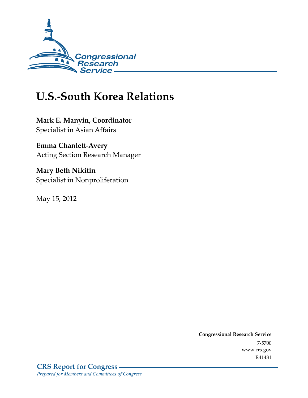

# **U.S.-South Korea Relations**

**Mark E. Manyin, Coordinator**  Specialist in Asian Affairs

**Emma Chanlett-Avery**  Acting Section Research Manager

**Mary Beth Nikitin**  Specialist in Nonproliferation

May 15, 2012

**Congressional Research Service**  7-5700 www.crs.gov R41481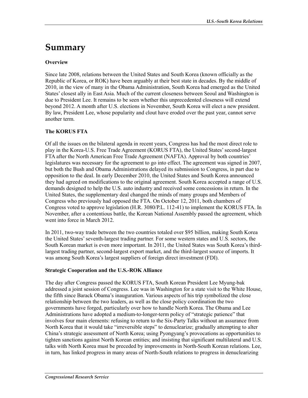# **Summary**

### **Overview**

Since late 2008, relations between the United States and South Korea (known officially as the Republic of Korea, or ROK) have been arguably at their best state in decades. By the middle of 2010, in the view of many in the Obama Administration, South Korea had emerged as the United States' closest ally in East Asia. Much of the current closeness between Seoul and Washington is due to President Lee. It remains to be seen whether this unprecedented closeness will extend beyond 2012. A month after U.S. elections in November, South Korea will elect a new president. By law, President Lee, whose popularity and clout have eroded over the past year, cannot serve another term.

### **The KORUS FTA**

Of all the issues on the bilateral agenda in recent years, Congress has had the most direct role to play in the Korea-U.S. Free Trade Agreement (KORUS FTA), the United States' second-largest FTA after the North American Free Trade Agreement (NAFTA). Approval by both countries' legislatures was necessary for the agreement to go into effect. The agreement was signed in 2007, but both the Bush and Obama Administrations delayed its submission to Congress, in part due to opposition to the deal. In early December 2010, the United States and South Korea announced they had agreed on modifications to the original agreement. South Korea accepted a range of U.S. demands designed to help the U.S. auto industry and received some concessions in return. In the United States, the supplementary deal changed the minds of many groups and Members of Congress who previously had opposed the FTA. On October 12, 2011, both chambers of Congress voted to approve legislation (H.R. 3080/P.L. 112-41) to implement the KORUS FTA. In November, after a contentious battle, the Korean National Assembly passed the agreement, which went into force in March 2012.

In 2011, two-way trade between the two countries totaled over \$95 billion, making South Korea the United States' seventh-largest trading partner. For some western states and U.S. sectors, the South Korean market is even more important. In 2011, the United States was South Korea's thirdlargest trading partner, second-largest export market, and the third-largest source of imports. It was among South Korea's largest suppliers of foreign direct investment (FDI).

### **Strategic Cooperation and the U.S.-ROK Alliance**

The day after Congress passed the KORUS FTA, South Korean President Lee Myung-bak addressed a joint session of Congress. Lee was in Washington for a state visit to the White House, the fifth since Barack Obama's inauguration. Various aspects of his trip symbolized the close relationship between the two leaders, as well as the close policy coordination the two governments have forged, particularly over how to handle North Korea. The Obama and Lee Administrations have adopted a medium-to-longer-term policy of "strategic patience" that involves four main elements: refusing to return to the Six-Party Talks without an assurance from North Korea that it would take "irreversible steps" to denuclearize; gradually attempting to alter China's strategic assessment of North Korea; using Pyongyang's provocations as opportunities to tighten sanctions against North Korean entities; and insisting that significant multilateral and U.S. talks with North Korea must be preceded by improvements in North-South Korean relations. Lee, in turn, has linked progress in many areas of North-South relations to progress in denuclearizing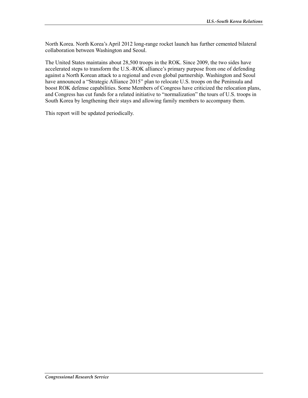North Korea. North Korea's April 2012 long-range rocket launch has further cemented bilateral collaboration between Washington and Seoul.

The United States maintains about 28,500 troops in the ROK. Since 2009, the two sides have accelerated steps to transform the U.S.-ROK alliance's primary purpose from one of defending against a North Korean attack to a regional and even global partnership. Washington and Seoul have announced a "Strategic Alliance 2015" plan to relocate U.S. troops on the Peninsula and boost ROK defense capabilities. Some Members of Congress have criticized the relocation plans, and Congress has cut funds for a related initiative to "normalization" the tours of U.S. troops in South Korea by lengthening their stays and allowing family members to accompany them.

This report will be updated periodically.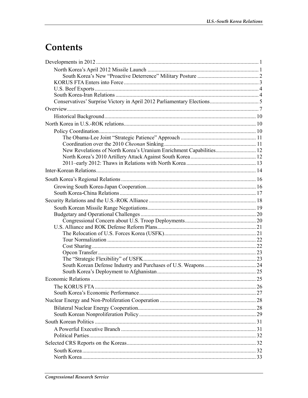# Contents

| New Revelations of North Korea's Uranium Enrichment Capabilities 12 |    |
|---------------------------------------------------------------------|----|
|                                                                     |    |
|                                                                     |    |
|                                                                     |    |
|                                                                     |    |
|                                                                     |    |
|                                                                     |    |
|                                                                     |    |
|                                                                     |    |
|                                                                     |    |
|                                                                     |    |
|                                                                     |    |
|                                                                     |    |
|                                                                     |    |
|                                                                     |    |
|                                                                     |    |
|                                                                     |    |
|                                                                     |    |
|                                                                     |    |
|                                                                     | 26 |
|                                                                     |    |
|                                                                     |    |
|                                                                     |    |
|                                                                     |    |
|                                                                     |    |
|                                                                     |    |
|                                                                     |    |
|                                                                     |    |
|                                                                     |    |
|                                                                     |    |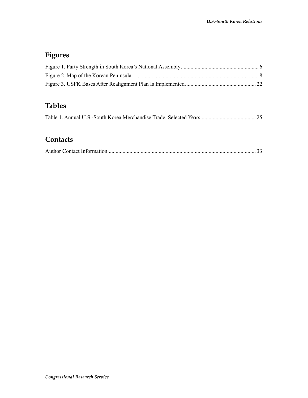## **Figures**

## **Tables**

|--|--|--|--|

### **Contacts**

|--|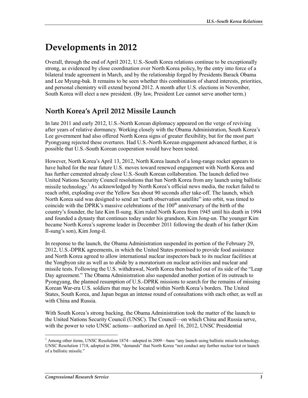# **Developments in 2012**

Overall, through the end of April 2012, U.S.-South Korea relations continue to be exceptionally strong, as evidenced by close coordination over North Korea policy, by the entry into force of a bilateral trade agreement in March, and by the relationship forged by Presidents Barack Obama and Lee Myung-bak. It remains to be seen whether this combination of shared interests, priorities, and personal chemistry will extend beyond 2012. A month after U.S. elections in November, South Korea will elect a new president. (By law, President Lee cannot serve another term.)

## **North Korea's April 2012 Missile Launch**

In late 2011 and early 2012, U.S.-North Korean diplomacy appeared on the verge of reviving after years of relative dormancy. Working closely with the Obama Administration, South Korea's Lee government had also offered North Korea signs of greater flexibility, but for the most part Pyongyang rejected these overtures. Had U.S.-North Korean engagement advanced further, it is possible that U.S.-South Korean cooperation would have been tested.

However, North Korea's April 13, 2012, North Korea launch of a long-range rocket appears to have halted for the near future U.S. moves toward renewed engagement with North Korea and has further cemented already close U.S.-South Korean collaboration. The launch defied two United Nations Security Council resolutions that ban North Korea from any launch using ballistic missile technology.<sup>1</sup> As acknowledged by North Korea's official news media, the rocket failed to reach orbit, exploding over the Yellow Sea about 90 seconds after take-off. The launch, which North Korea said was designed to send an "earth observation satellite" into orbit, was timed to coincide with the DPRK's massive celebrations of the  $100<sup>th</sup>$  anniversary of the birth of the country's founder, the late Kim Il-sung. Kim ruled North Korea from 1945 until his death in 1994 and founded a dynasty that continues today under his grandson, Kim Jong-un. The younger Kim became North Korea's supreme leader in December 2011 following the death of his father (Kim Il-sung's son), Kim Jong-il.

In response to the launch, the Obama Administration suspended its portion of the February 29, 2012, U.S.-DPRK agreements, in which the United States promised to provide food assistance and North Korea agreed to allow international nuclear inspectors back to its nuclear facilities at the Yongbyon site as well as to abide by a moratorium on nuclear activities and nuclear and missile tests. Following the U.S. withdrawal, North Korea then backed out of its side of the "Leap Day agreement." The Obama Administration also suspended another portion of its outreach to Pyongyang, the planned resumption of U.S.-DPRK missions to search for the remains of missing Korean War-era U.S. soldiers that may be located within North Korea's borders. The United States, South Korea, and Japan began an intense round of consultations with each other, as well as with China and Russia.

With South Korea's strong backing, the Obama Administration took the matter of the launch to the United Nations Security Council (UNSC). The Council—on which China and Russia serve, with the power to veto UNSC actions—authorized an April 16, 2012, UNSC Presidential

<sup>1</sup> <sup>1</sup> Among other items, UNSC Resolution 1874—adopted in 2009—bans "any launch using ballistic missile technology. UNSC Resolution 1718, adopted in 2006, "demands" that North Korea "not conduct any further nuclear test or launch of a ballistic missile."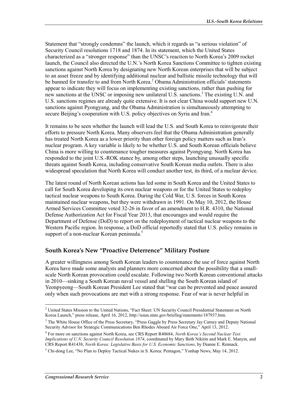Statement that "strongly condemns" the launch, which it regards as "a serious violation" of Security Council resolutions 1718 and 1874. In its statement, which the United States characterized as a "stronger response" than the UNSC's reaction to North Korea's 2009 rocket launch, the Council also directed the U.N.'s North Korea Sanctions Committee to tighten existing sanctions against North Korea by designating new North Korean enterprises that will be subject to an asset freeze and by identifying additional nuclear and ballistic missile technology that will be banned for transfer to and from North Korea.<sup>2</sup> Obama Administration officials' statements appear to indicate they will focus on implementing existing sanctions, rather than pushing for new sanctions at the UNSC or imposing new unilateral U.S. sanctions.3 The existing U.N. and U.S. sanctions regimes are already quite extensive. It is not clear China would support new U.N. sanctions against Pyongyang, and the Obama Administration is simultaneously attempting to secure Beijing's cooperation with U.S. policy objectives on Syria and Iran.<sup>4</sup>

It remains to be seen whether the launch will lead the U.S. and South Korea to reinvigorate their efforts to pressure North Korea. Many observers feel that the Obama Administration generally has treated North Korea as a lower priority than other foreign policy matters such as Iran's nuclear program. A key variable is likely to be whether U.S. and South Korean officials believe China is more willing to countenance tougher measures against Pyongyang. North Korea has responded to the joint U.S.-ROK stance by, among other steps, launching unusually specific threats against South Korea, including conservative South Korean media outlets. There is also widespread speculation that North Korea will conduct another test, its third, of a nuclear device.

The latest round of North Korean actions has led some in South Korea and the United States to call for South Korea developing its own nuclear weapons or for the United States to redeploy tactical nuclear weapons to South Korea. During the Cold War, U.S. forces in South Korea maintained nuclear weapons, but they were withdrawn in 1991. On May 10, 2012, the House Armed Services Committee voted 32-26 in favor of an amendment to H.R. 4310, the National Defense Authorization Act for Fiscal Year 2013, that encourages and would require the Department of Defense (DoD) to report on the redeployment of tactical nuclear weapons to the Western Pacific region. In response, a DoD official reportedly stated that U.S. policy remains in support of a non-nuclear Korean peninsula.<sup>5</sup>

### **South Korea's New "Proactive Deterrence" Military Posture**

A greater willingness among South Korean leaders to countenance the use of force against North Korea have made some analysts and planners more concerned about the possibility that a smallscale North Korean provocation could escalate. Following two North Korean conventional attacks in 2010—sinking a South Korean naval vessel and shelling the South Korean island of Yeonpyeong—South Korean President Lee stated that "war can be prevented and peace assured only when such provocations are met with a strong response. Fear of war is never helpful in

**<sup>2</sup>**<br><sup>2</sup> United States Mission to the United Nations, "Fact Sheet: UN Security Council Presidential Statement on North Korea Launch," press release, April 16, 2012, http://usun.state.gov/briefing/statements/187937.htm.

<sup>&</sup>lt;sup>3</sup> The White House Office of the Press Secretary, "Press Gaggle by Press Secretary Jay Carney and Deputy National Security Advisor for Strategic Communications Ben Rhodes Aboard Air Force One," April 13, 2012.

<sup>4</sup> For more on sanctions against North Korea, see CRS Report R40684, *North Korea's Second Nuclear Test: Implications of U.N. Security Council Resolution 1874*, coordinated by Mary Beth Nikitin and Mark E. Manyin, and CRS Report R41438, *North Korea: Legislative Basis for U.S. Economic Sanctions*, by Dianne E. Rennack.

 $<sup>5</sup>$  Chi-dong Lee, "No Plan to Deploy Tactical Nukes in S. Korea: Pentagon," Yonhap News, May 14, 2012.</sup>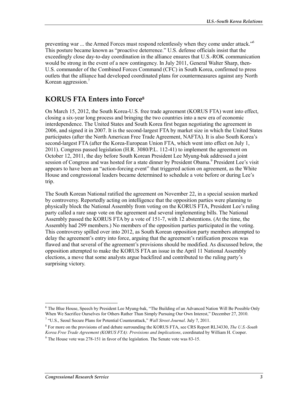preventing war ... the Armed Forces must respond relentlessly when they come under attack."6 This posture became known as "proactive deterrence." U.S. defense officials insist that the exceedingly close day-to-day coordination in the alliance ensures that U.S.-ROK communication would be strong in the event of a new contingency. In July 2011, General Walter Sharp, then-U.S. commander of the Combined Forces Command (CFC) in South Korea, confirmed to press outlets that the alliance had developed coordinated plans for countermeasures against any North Korean aggression.<sup>7</sup>

### **KORUS FTA Enters into Force8**

On March 15, 2012, the South Korea-U.S. free trade agreement (KORUS FTA) went into effect, closing a six-year long process and bringing the two countries into a new era of economic interdependence. The United States and South Korea first began negotiating the agreement in 2006, and signed it in 2007. It is the second-largest FTA by market size in which the United States participates (after the North American Free Trade Agreement, NAFTA). It is also South Korea's second-largest FTA (after the Korea-European Union FTA, which went into effect on July 1, 2011). Congress passed legislation (H.R. 3080/P.L. 112-41) to implement the agreement on October 12, 2011, the day before South Korean President Lee Myung-bak addressed a joint session of Congress and was hosted for a state dinner by President Obama.<sup>9</sup> President Lee's visit appears to have been an "action-forcing event" that triggered action on agreement, as the White House and congressional leaders became determined to schedule a vote before or during Lee's trip.

The South Korean National ratified the agreement on November 22, in a special session marked by controversy. Reportedly acting on intelligence that the opposition parties were planning to physically block the National Assembly from voting on the KORUS FTA, President Lee's ruling party called a rare snap vote on the agreement and several implementing bills. The National Assembly passed the KORUS FTA by a vote of 151-7, with 12 abstentions. (At the time, the Assembly had 299 members.) No members of the opposition parties participated in the voting. This controversy spilled over into 2012, as South Korean opposition party members attempted to delay the agreement's entry into force, arguing that the agreement's ratification process was flawed and that several of the agreement's provisions should be modified. As discussed below, the opposition attempted to make the KORUS FTA an issue in the April 11 National Assembly elections, a move that some analysts argue backfired and contributed to the ruling party's surprising victory.

<sup>&</sup>lt;sup>6</sup> The Blue House, Speech by President Lee Myung-bak, "The Building of an Advanced Nation Will Be Possible Only When We Sacrifice Ourselves for Others Rather Than Simply Pursuing Our Own Interest," December 27, 2010.

<sup>7</sup> "U.S., Seoul Secure Plans for Potential Counterattack," *Wall Street Journal*. July 7, 2011.

<sup>8</sup> For more on the provisions of and debate surrounding the KORUS FTA, see CRS Report RL34330, *The U.S.-South Korea Free Trade Agreement (KORUS FTA): Provisions and Implications*, coordinated by William H. Cooper.

<sup>&</sup>lt;sup>9</sup> The House vote was 278-151 in favor of the legislation. The Senate vote was 83-15.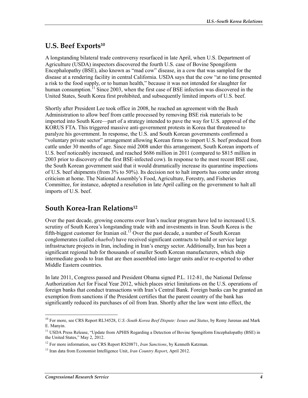## **U.S. Beef Exports10**

A longstanding bilateral trade controversy resurfaced in late April, when U.S. Department of Agriculture (USDA) inspectors discovered the fourth U.S. case of Bovine Spongiform Encephalopathy (BSE), also known as "mad cow" disease, in a cow that was sampled for the disease at a rendering facility in central California. USDA says that the cow "at no time presented a risk to the food supply, or to human health," because it was not intended for slaughter for human consumption.<sup>11</sup> Since 2003, when the first case of BSE infection was discovered in the United States, South Korea first prohibited, and subsequently limited imports of U.S. beef.

Shortly after President Lee took office in 2008, he reached an agreement with the Bush Administration to allow beef from cattle processed by removing BSE risk materials to be imported into South Kore—part of a strategy intended to pave the way for U.S. approval of the KORUS FTA. This triggered massive anti-government protests in Korea that threatened to paralyze his government. In response, the U.S. and South Korean governments confirmed a "voluntary private sector" arrangement allowing Korean firms to import U.S. beef produced from cattle under 30 months of age. Since mid 2008 under this arrangement, South Korean imports of U.S. beef noticeably increased, and reached \$686 million in 2011 (compared to \$815 million in 2003 prior to discovery of the first BSE-infected cow). In response to the most recent BSE case, the South Korean government said that it would dramatically increase its quarantine inspections of U.S. beef shipments (from 3% to 50%). Its decision not to halt imports has come under strong criticism at home. The National Assembly's Food, Agriculture, Forestry, and Fisheries Committee, for instance, adopted a resolution in late April calling on the government to halt all imports of U.S. beef.

## **South Korea-Iran Relations12**

Over the past decade, growing concerns over Iran's nuclear program have led to increased U.S. scrutiny of South Korea's longstanding trade with and investments in Iran. South Korea is the fifth-biggest customer for Iranian oil.<sup>13</sup> Over the past decade, a number of South Korean conglomerates (called *chaebol*) have received significant contracts to build or service large infrastructure projects in Iran, including in Iran's energy sector. Additionally, Iran has been a significant regional hub for thousands of smaller South Korean manufacturers, which ship intermediate goods to Iran that are then assembled into larger units and/or re-exported to other Middle Eastern countries.

In late 2011, Congress passed and President Obama signed P.L. 112-81, the National Defense Authorization Act for Fiscal Year 2012, which places strict limitations on the U.S. operations of foreign banks that conduct transactions with Iran's Central Bank. Foreign banks can be granted an exemption from sanctions if the President certifies that the parent country of the bank has significantly reduced its purchases of oil from Iran. Shortly after the law went into effect, the

<sup>1</sup> 10 For more, see CRS Report RL34528, *U.S.-South Korea Beef Dispute: Issues and Status*, by Remy Jurenas and Mark E. Manyin.

<sup>&</sup>lt;sup>11</sup> USDA Press Release, "Update from APHIS Regarding a Detection of Bovine Spongiform Encephalopathy (BSE) in the United States," May 2, 2012.

<sup>12</sup> For more information, see CRS Report RS20871, *Iran Sanctions*, by Kenneth Katzman.

<sup>13</sup> Iran data from Economist Intelligence Unit, *Iran Country Report*, April 2012.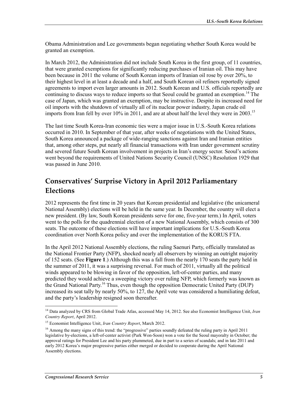Obama Administration and Lee governments began negotiating whether South Korea would be granted an exemption.

In March 2012, the Administration did not include South Korea in the first group, of 11 countries, that were granted exemptions for significantly reducing purchases of Iranian oil. This may have been because in 2011 the volume of South Korean imports of Iranian oil rose by over 20%, to their highest level in at least a decade and a half, and South Korean oil refiners reportedly signed agreements to import even larger amounts in 2012. South Korean and U.S. officials reportedly are continuing to discuss ways to reduce imports so that Seoul could be granted an exemption.<sup>14</sup> The case of Japan, which was granted an exemption, may be instructive. Despite its increased need for oil imports with the shutdown of virtually all of its nuclear power industry, Japan crude oil imports from Iran fell by over 10% in 2011, and are at about half the level they were in 2003.<sup>15</sup>

The last time South Korea-Iran economic ties were a major issue in U.S.-South Korea relations occurred in 2010. In September of that year, after weeks of negotiations with the United States, South Korea announced a package of wide-ranging sanctions against Iran and Iranian entities that, among other steps, put nearly all financial transactions with Iran under government scrutiny and severed future South Korean involvement in projects in Iran's energy sector. Seoul's actions went beyond the requirements of United Nations Security Council (UNSC) Resolution 1929 that was passed in June 2010.

## **Conservatives' Surprise Victory in April 2012 Parliamentary Elections**

2012 represents the first time in 20 years that Korean presidential and legislative (the unicameral National Assembly) elections will be held in the same year. In December, the country will elect a new president. (By law, South Korean presidents serve for one, five-year term.) In April, voters went to the polls for the quadrennial election of a new National Assembly, which consists of 300 seats. The outcome of these elections will have important implications for U.S.-South Korea coordination over North Korea policy and over the implementation of the KORUS FTA.

In the April 2012 National Assembly elections, the ruling Saenuri Party, officially translated as the National Frontier Party (NFP), shocked nearly all observers by winning an outright majority of 152 seats. (See **Figure 1**.) Although this was a fall from the nearly 170 seats the party held in the summer of 2011, it was a surprising reversal. For much of 2011, virtually all the political winds appeared to be blowing in favor of the opposition, left-of-center parties, and many predicted they would achieve a sweeping victory over ruling NFP, which formerly was known as the Grand National Party.16 Thus, even though the opposition Democratic United Party (DUP) increased its seat tally by nearly 50%, to 127, the April vote was considered a humiliating defeat, and the party's leadership resigned soon thereafter.

<sup>14</sup> Data analyzed by CRS from Global Trade Atlas, accessed May 14, 2012. See also Economist Intelligence Unit, *Iran Country Report*, April 2012.

<sup>15</sup> Economist Intelligence Unit, *Iran Country Report*, March 2012.

<sup>&</sup>lt;sup>16</sup> Among the many signs of this trend: the "progressive" parties soundly defeated the ruling party in April 2011 legislative by-elections, a left-of-center activist (Park Won-Soon) won a vote for the Seoul mayoralty in October; the approval ratings for President Lee and his party plummeted, due in part to a series of scandals; and in late 2011 and early 2012 Korea's major progressive parties either merged or decided to cooperate during the April National Assembly elections.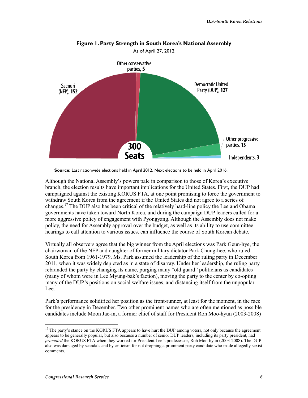

**Figure 1. Party Strength in South Korea's National Assembly** 

**Source:** Last nationwide elections held in April 2012. Next elections to be held in April 2016.

Although the National Assembly's powers pale in comparison to those of Korea's executive branch, the election results have important implications for the United States. First, the DUP had campaigned against the existing KORUS FTA, at one point promising to force the government to withdraw South Korea from the agreement if the United States did not agree to a series of changes.17 The DUP also has been critical of the relatively hard-line policy the Lee and Obama governments have taken toward North Korea, and during the campaign DUP leaders called for a more aggressive policy of engagement with Pyongyang. Although the Assembly does not make policy, the need for Assembly approval over the budget, as well as its ability to use committee hearings to call attention to various issues, can influence the course of South Korean debate.

Virtually all observers agree that the big winner from the April elections was Park Geun-hye, the chairwoman of the NFP and daughter of former military dictator Park Chung-hee, who ruled South Korea from 1961-1979. Ms. Park assumed the leadership of the ruling party in December 2011, when it was widely depicted as in a state of disarray. Under her leadership, the ruling party rebranded the party by changing its name, purging many "old guard" politicians as candidates (many of whom were in Lee Myung-bak's faction), moving the party to the center by co-opting many of the DUP's positions on social welfare issues, and distancing itself from the unpopular Lee.

Park's performance solidified her position as the front-runner, at least for the moment, in the race for the presidency in December. Two other prominent names who are often mentioned as possible candidates include Moon Jae-in, a former chief of staff for President Roh Moo-hyun (2003-2008)

<sup>&</sup>lt;sup>17</sup> The party's stance on the KORUS FTA appears to have hurt the DUP among voters, not only because the agreement appears to be generally popular, but also because a number of senior DUP leaders, including its party president, had *promoted* the KORUS FTA when they worked for President Lee's predecessor, Roh Moo-hyun (2003-2008). The DUP also was damaged by scandals and by criticism for not dropping a prominent party candidate who made allegedly sexist comments.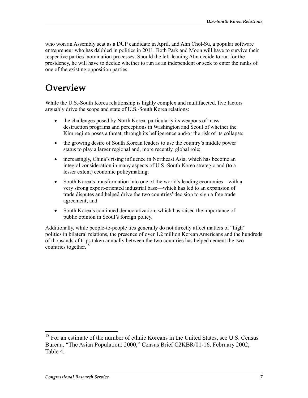who won an Assembly seat as a DUP candidate in April, and Ahn Chol-Su, a popular software entrepreneur who has dabbled in politics in 2011. Both Park and Moon will have to survive their respective parties' nomination processes. Should the left-leaning Ahn decide to run for the presidency, he will have to decide whether to run as an independent or seek to enter the ranks of one of the existing opposition parties.

# **Overview**

While the U.S.-South Korea relationship is highly complex and multifaceted, five factors arguably drive the scope and state of U.S.-South Korea relations:

- the challenges posed by North Korea, particularly its weapons of mass destruction programs and perceptions in Washington and Seoul of whether the Kim regime poses a threat, through its belligerence and/or the risk of its collapse;
- the growing desire of South Korean leaders to use the country's middle power status to play a larger regional and, more recently, global role;
- increasingly, China's rising influence in Northeast Asia, which has become an integral consideration in many aspects of U.S.-South Korea strategic and (to a lesser extent) economic policymaking;
- South Korea's transformation into one of the world's leading economies—with a very strong export-oriented industrial base—which has led to an expansion of trade disputes and helped drive the two countries' decision to sign a free trade agreement; and
- South Korea's continued democratization, which has raised the importance of public opinion in Seoul's foreign policy.

Additionally, while people-to-people ties generally do not directly affect matters of "high" politics in bilateral relations, the presence of over 1.2 million Korean Americans and the hundreds of thousands of trips taken annually between the two countries has helped cement the two countries together.<sup>18</sup>

<sup>1</sup> <sup>18</sup> For an estimate of the number of ethnic Koreans in the United States, see U.S. Census Bureau, "The Asian Population: 2000," Census Brief C2KBR/01-16, February 2002, Table 4.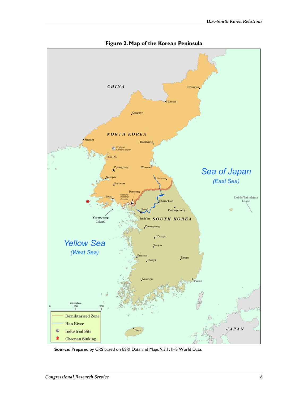

**Figure 2. Map of the Korean Peninsula** 

**Source:** Prepared by CRS based on ESRI Data and Maps 9.3.1; IHS World Data.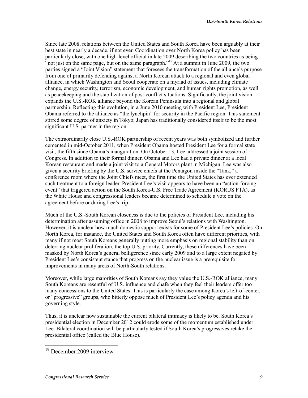Since late 2008, relations between the United States and South Korea have been arguably at their best state in nearly a decade, if not ever. Coordination over North Korea policy has been particularly close, with one high-level official in late 2009 describing the two countries as being "not just on the same page, but on the same paragraph."<sup>19</sup> At a summit in June 2009, the two parties signed a "Joint Vision" statement that foresees the transformation of the alliance's purpose from one of primarily defending against a North Korean attack to a regional and even global alliance, in which Washington and Seoul cooperate on a myriad of issues, including climate change, energy security, terrorism, economic development, and human rights promotion, as well as peacekeeping and the stabilization of post-conflict situations. Significantly, the joint vision expands the U.S.-ROK alliance beyond the Korean Peninsula into a regional and global partnership. Reflecting this evolution, in a June 2010 meeting with President Lee, President Obama referred to the alliance as "the lynchpin" for security in the Pacific region. This statement stirred some degree of anxiety in Tokyo; Japan has traditionally considered itself to be the most significant U.S. partner in the region.

The extraordinarily close U.S.-ROK partnership of recent years was both symbolized and further cemented in mid-October 2011, when President Obama hosted President Lee for a formal state visit, the fifth since Obama's inauguration. On October 13, Lee addressed a joint session of Congress. In addition to their formal dinner, Obama and Lee had a private dinner at a local Korean restaurant and made a joint visit to a General Motors plant in Michigan. Lee was also given a security briefing by the U.S. service chiefs at the Pentagon inside the "Tank," a conference room where the Joint Chiefs meet, the first time the United States has ever extended such treatment to a foreign leader. President Lee's visit appears to have been an "action-forcing event" that triggered action on the South Korea-U.S. Free Trade Agreement (KORUS FTA), as the White House and congressional leaders became determined to schedule a vote on the agreement before or during Lee's trip.

Much of the U.S.-South Korean closeness is due to the policies of President Lee, including his determination after assuming office in 2008 to improve Seoul's relations with Washington. However, it is unclear how much domestic support exists for some of President Lee's policies. On North Korea, for instance, the United States and South Korea often have different priorities, with many if not most South Koreans generally putting more emphasis on regional stability than on deterring nuclear proliferation, the top U.S. priority. Currently, these differences have been masked by North Korea's general belligerence since early 2009 and to a large extent negated by President Lee's consistent stance that progress on the nuclear issue is a prerequisite for improvements in many areas of North-South relations.

Moreover, while large majorities of South Koreans say they value the U.S.-ROK alliance, many South Koreans are resentful of U.S. influence and chafe when they feel their leaders offer too many concessions to the United States. This is particularly the case among Korea's left-of-center, or "progressive" groups, who bitterly oppose much of President Lee's policy agenda and his governing style.

Thus, it is unclear how sustainable the current bilateral intimacy is likely to be. South Korea's presidential election in December 2012 could erode some of the momentum established under Lee. Bilateral coordination will be particularly tested if South Korea's progressives retake the presidential office (called the Blue House).

<sup>&</sup>lt;sup>19</sup> December 2009 interview.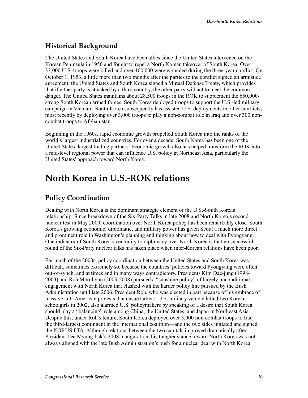## **Historical Background**

The United States and South Korea have been allies since the United States intervened on the Korean Peninsula in 1950 and fought to repel a North Korean takeover of South Korea. Over 33,000 U.S. troops were killed and over 100,000 were wounded during the three-year conflict. On October 1, 1953, a little more than two months after the parties to the conflict signed an armistice agreement, the United States and South Korea signed a Mutual Defense Treaty, which provides that if either party is attacked by a third country, the other party will act to meet the common danger. The United States maintains about 28,500 troops in the ROK to supplement the 650,000 strong South Korean armed forces. South Korea deployed troops to support the U.S.-led military campaign in Vietnam. South Korea subsequently has assisted U.S. deployments in other conflicts, most recently by deploying over 3,000 troops to play a non-combat role in Iraq and over 300 noncombat troops to Afghanistan.

Beginning in the 1960s, rapid economic growth propelled South Korea into the ranks of the world's largest industrialized countries. For over a decade, South Korea has been one of the United States' largest trading partners. Economic growth also has helped transform the ROK into a mid-level regional power that can influence U.S. policy in Northeast Asia, particularly the United States' approach toward North Korea.

# **North Korea in U.S.-ROK relations**

## **Policy Coordination**

Dealing with North Korea is the dominant strategic element of the U.S.-South Korean relationship. Since breakdown of the Six-Party Talks in late 2008 and North Korea's second nuclear test in May 2009, coordination over North Korea policy has been remarkably close. South Korea's growing economic, diplomatic, and military power has given Seoul a much more direct and prominent role in Washington's planning and thinking about how to deal with Pyongyang. One indicator of South Korea's centrality to diplomacy over North Korea is that no successful round of the Six-Party nuclear talks has taken place when inter-Korean relations have been poor.

For much of the 2000s, policy coordination between the United States and South Korea was difficult, sometimes extremely so, because the countries' policies toward Pyongyang were often out-of-synch, and at times and in many ways contradictory. Presidents Kim Dae-jung (1998- 2003) and Roh Moo-hyun (2003-2008) pursued a "sunshine policy" of largely unconditional engagement with North Korea that clashed with the harder policy line pursued by the Bush Administration until late 2006. President Roh, who was elected in part because of his embrace of massive anti-American protests that ensued after a U.S. military vehicle killed two Korean schoolgirls in 2002, also alarmed U.S. policymakers by speaking of a desire that South Korea should play a "balancing" role among China, the United States, and Japan in Northeast Asia. Despite this, under Roh's tenure, South Korea deployed over 3,000 non-combat troops to Iraq the third-largest contingent in the international coalition—and the two sides initiated and signed the KORUS FTA. Although relations between the two capitals improved dramatically after President Lee Myung-bak's 2008 inauguration, his tougher stance toward North Korea was not always aligned with the late Bush Administration's push for a nuclear deal with North Korea.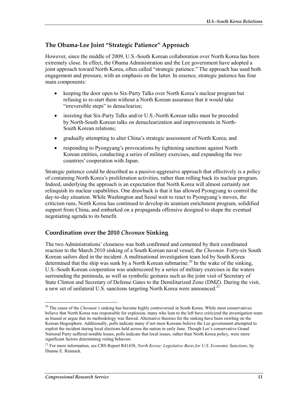### **The Obama-Lee Joint "Strategic Patience" Approach**

However, since the middle of 2009, U.S.-South Korean collaboration over North Korea has been extremely close. In effect, the Obama Administration and the Lee government have adopted a joint approach toward North Korea, often called "strategic patience." The approach has used both engagement and pressure, with an emphasis on the latter. In essence, strategic patience has four main components:

- keeping the door open to Six-Party Talks over North Korea's nuclear program but refusing to re-start them without a North Korean assurance that it would take "irreversible steps" to denuclearize;
- insisting that Six-Party Talks and/or U.S.-North Korean talks must be preceded by North-South Korean talks on denuclearization and improvements in North-South Korean relations;
- gradually attempting to alter China's strategic assessment of North Korea; and
- responding to Pyongyang's provocations by tightening sanctions against North Korean entities, conducting a series of military exercises, and expanding the two countries' cooperation with Japan.

Strategic patience could be described as a passive-aggressive approach that effectively is a policy of containing North Korea's proliferation activities, rather than rolling back its nuclear program. Indeed, underlying the approach is an expectation that North Korea will almost certainly not relinquish its nuclear capabilities. One drawback is that it has allowed Pyongyang to control the day-to-day situation. While Washington and Seoul wait to react to Pyongyang's moves, the criticism runs, North Korea has continued to develop its uranium enrichment program, solidified support from China, and embarked on a propaganda offensive designed to shape the eventual negotiating agenda to its benefit.

### **Coordination over the 2010** *Cheonan* **Sinking**

The two Administrations' closeness was both confirmed and cemented by their coordinated reaction to the March 2010 sinking of a South Korean naval vessel, the *Cheonan*. Forty-six South Korean sailors died in the incident. A multinational investigation team led by South Korea determined that the ship was sunk by a North Korean submarine.<sup>20</sup> In the wake of the sinking, U.S.-South Korean cooperation was underscored by a series of military exercises in the waters surrounding the peninsula, as well as symbolic gestures such as the joint visit of Secretary of State Clinton and Secretary of Defense Gates to the Demilitarized Zone (DMZ). During the visit, a new set of unilateral U.S. sanctions targeting North Korea were announced.<sup>21</sup>

<sup>1</sup> 20 The cause of the *Cheonan's* sinking has become highly controversial in South Korea. While most conservatives believe that North Korea was responsible for explosion, many who lean to the left have criticized the investigation team as biased or argue that its methodology was flawed. Alternative theories for the sinking have been swirling on the Korean blogosphere. Additionally, polls indicate many if not most Koreans believe the Lee government attempted to exploit the incident during local elections held across the nation in early June. Though Lee's conservative Grand National Party suffered notable losses, polls indicate that local issues, rather than North Korea policy, were more significant factors determining voting behavior.

<sup>21</sup> For more information, see CRS Report R41438, *North Korea: Legislative Basis for U.S. Economic Sanctions*, by Dianne E. Rennack.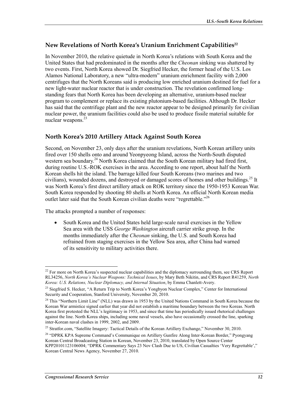### New Revelations of North Korea's Uranium Enrichment Capabilities<sup>22</sup>

In November 2010, the relative quietude in North Korea's relations with South Korea and the United States that had predominated in the months after the *Cheonan* sinking was shattered by two events. First, North Korea showed Dr. Siegfried Hecker, the former head of the U.S. Los Alamos National Laboratory, a new "ultra-modern" uranium enrichment facility with 2,000 centrifuges that the North Koreans said is producing low enriched uranium destined for fuel for a new light-water nuclear reactor that is under construction. The revelation confirmed longstanding fears that North Korea has been developing an alternative, uranium-based nuclear program to complement or replace its existing plutonium-based facilities. Although Dr. Hecker has said that the centrifuge plant and the new reactor appear to be designed primarily for civilian nuclear power, the uranium facilities could also be used to produce fissile material suitable for nuclear weapons.<sup>23</sup>

### **North Korea's 2010 Artillery Attack Against South Korea**

Second, on November 23, only days after the uranium revelations, North Korean artillery units fired over 150 shells onto and around Yeonpyeong Island, across the North-South disputed western sea boundary.<sup>24</sup> North Korea claimed that the South Korean military had fired first, during routine U.S.-ROK exercises in the area. According to one report, about half the North Korean shells hit the island. The barrage killed four South Koreans (two marines and two civilians), wounded dozens, and destroyed or damaged scores of homes and other buildings.<sup>25</sup> It was North Korea's first direct artillery attack on ROK territory since the 1950-1953 Korean War. South Korea responded by shooting 80 shells at North Korea. An official North Korean media outlet later said that the South Korean civilian deaths were "regrettable."<sup>26</sup>

The attacks prompted a number of responses:

• South Korea and the United States held large-scale naval exercises in the Yellow Sea area with the USS *George Washington* aircraft carrier strike group. In the months immediately after the *Cheonan* sinking, the U.S. and South Korea had refrained from staging exercises in the Yellow Sea area, after China had warned of its sensitivity to military activities there.

<sup>1</sup>  $^{22}$  For more on North Korea's suspected nuclear capabilities and the diplomacy surrounding them, see CRS Report RL34256, *North Korea's Nuclear Weapons: Technical Issues*, by Mary Beth Nikitin, and CRS Report R41259, *North Korea: U.S. Relations, Nuclear Diplomacy, and Internal Situation*, by Emma Chanlett-Avery.

<sup>&</sup>lt;sup>23</sup> Siegfried S. Hecker, "A Return Trip to North Korea's Yongbyon Nuclear Complex," Center for International Security and Cooperation, Stanford University, November 20, 2010.

<sup>&</sup>lt;sup>24</sup> This "Northern Limit Line" (NLL) was drawn in 1953 by the United Nations Command in South Korea because the Korean War armistice signed earlier that year did not establish a maritime boundary between the two Koreas. North Korea first protested the NLL's legitimacy in 1953, and since that time has periodically issued rhetorical challenges against the line. North Korea ships, including some naval vessels, also have occasionally crossed the line, sparking inter-Korean naval clashes in 1999, 2002, and 2009.

<sup>&</sup>lt;sup>25</sup> Stratfor.com, "Satellite Imagery: Tactical Details of the Korean Artillery Exchange," November 30, 2010.

<sup>&</sup>lt;sup>26</sup> "DPRK KPA Supreme Command's Communique on Artillery Gunfire Along Inter-Korean Border," Pyongyang Korean Central Broadcasting Station in Korean, November 23, 2010, translated by Open Source Center KPP20101123106004; "DPRK Commentary Says 23 Nov Clash Due to US, Civilian Casualties 'Very Regrettable'," Korean Central News Agency, November 27, 2010.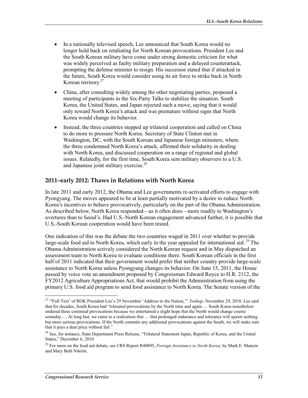- In a nationally televised speech, Lee announced that South Korea would no longer hold back on retaliating for North Korean provocations. President Lee and the South Korean military have come under strong domestic criticism for what was widely perceived as faulty military preparation and a delayed counterattack, prompting the defense minister to resign. His successor stated that if attacked in the future, South Korea would consider using its air force to strike back in North Korean territory.27
- China, after consulting widely among the other negotiating parties, proposed a meeting of participants in the Six-Party Talks to stabilize the situation. South Korea, the United States, and Japan rejected such a move, saying that it would only reward North Korea's attack and was premature without signs that North Korea would change its behavior.
- Instead, the three countries stepped up trilateral cooperation and called on China to do more to pressure North Korea. Secretary of State Clinton met in Washington, DC, with the South Korean and Japanese foreign ministers, where the three condemned North Korea's attack, affirmed their solidarity in dealing with North Korea, and discussed cooperation on a range of regional and global issues. Relatedly, for the first time, South Korea sent military observers to a U.S. and Japanese joint military exercise.<sup>28</sup>

#### **2011–early 2012: Thaws in Relations with North Korea**

In late 2011 and early 2012, the Obama and Lee governments re-activated efforts to engage with Pyongyang. The moves appeared to be at least partially motivated by a desire to reduce North Korea's incentives to behave provocatively, particularly on the part of the Obama Administration. As described below, North Korea responded—as it often does—more readily to Washington's overtures than to Seoul's. Had U.S.-North Korean engagement advanced further, it is possible that U.S.-South Korean cooperation would have been tested.

One indication of this was the debate the two countries waged in 2011 over whether to provide large-scale food aid to North Korea, which early in the year appealed for international aid. <sup>29</sup> The Obama Administration actively considered the North Korean request and in May dispatched an assessment team to North Korea to evaluate conditions there. South Korean officials in the first half of 2011 indicated that their government would prefer that neither country provide large-scale assistance to North Korea unless Pyongyang changes its behavior. On June 15, 2011, the House passed by voice vote an amendment proposed by Congressman Edward Royce to H.R. 2112, the FY2012 Agriculture Appropriations Act, that would prohibit the Administration from using the primary U.S. food aid program to send food assistance to North Korea. The Senate version of the

<sup>&</sup>lt;sup>27</sup> "Full Text' of ROK President Lee's 29 November 'Address to the Nation,"" *Yonhap*, November 29, 2010. Lee said that for decades, South Korea had "tolerated provocations by the North time and again.… South Korea nonetheless endured these continual provocations because we entertained a slight hope that the North would change course someday.... At long last, we came to a realization that ... that prolonged endurance and tolerance will spawn nothing but more serious provocations. If the North commits any additional provocations against the South, we will make sure that it pays a dear price without fail."

<sup>&</sup>lt;sup>28</sup> See, for instance, State Department Press Release, "Trilateral Statement Japan, Republic of Korea, and the United States," December 6, 2010.

<sup>29</sup> For more on the food aid debate, see CRS Report R40095, *Foreign Assistance to North Korea*, by Mark E. Manyin and Mary Beth Nikitin.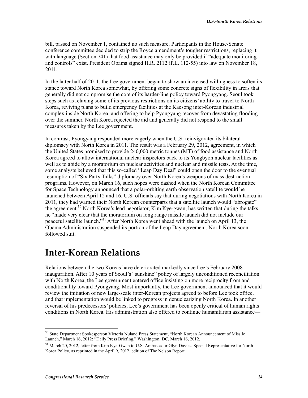bill, passed on November 1, contained no such measure. Participants in the House-Senate conference committee decided to strip the Royce amendment's tougher restrictions, replacing it with language (Section 741) that food assistance may only be provided if "adequate monitoring and controls" exist. President Obama signed H.R. 2112 (P.L. 112-55) into law on November 18, 2011.

In the latter half of 2011, the Lee government began to show an increased willingness to soften its stance toward North Korea somewhat, by offering some concrete signs of flexibility in areas that generally did not compromise the core of its harder-line policy toward Pyongyang. Seoul took steps such as relaxing some of its previous restrictions on its citizens' ability to travel to North Korea, reviving plans to build emergency facilities at the Kaesong inter-Korean industrial complex inside North Korea, and offering to help Pyongyang recover from devastating flooding over the summer. North Korea rejected the aid and generally did not respond to the small measures taken by the Lee government.

In contrast, Pyongyang responded more eagerly when the U.S. reinvigorated its bilateral diplomacy with North Korea in 2011. The result was a February 29, 2012, agreement, in which the United States promised to provide 240,000 metric tonnes (MT) of food assistance and North Korea agreed to allow international nuclear inspectors back to its Yongbyon nuclear facilities as well as to abide by a moratorium on nuclear activities and nuclear and missile tests. At the time, some analysts believed that this so-called "Leap Day Deal" could open the door to the eventual resumption of "Six Party Talks" diplomacy over North Korea's weapons of mass destruction programs. However, on March 16, such hopes were dashed when the North Korean Committee for Space Technology announced that a polar-orbiting earth observation satellite would be launched between April 12 and 16. U.S. officials say that during negotiations with North Korea in 2011, they had warned their North Korean counterparts that a satellite launch would "abrogate" the agreement.<sup>30</sup> North Korea's lead negotiator, Kim Kye-gwan, has written that during the talks he "made very clear that the moratorium on long range missile launch did not include our peaceful satellite launch."31 After North Korea went ahead with the launch on April 13, the Obama Administration suspended its portion of the Leap Day agreement. North Korea soon followed suit.

## **Inter-Korean Relations**

Relations between the two Koreas have deteriorated markedly since Lee's February 2008 inauguration. After 10 years of Seoul's "sunshine" policy of largely unconditioned reconciliation with North Korea, the Lee government entered office insisting on more reciprocity from and conditionality toward Pyongyang. Most importantly, the Lee government announced that it would review the initiation of new large-scale inter-Korean projects agreed to before Lee took office, and that implementation would be linked to progress in denuclearizing North Korea. In another reversal of his predecessors' policies, Lee's government has been openly critical of human rights conditions in North Korea. His administration also offered to continue humanitarian assistance—

<sup>1</sup> <sup>30</sup> State Department Spokesperson Victoria Nuland Press Statement, "North Korean Announcement of Missile Launch," March 16, 2012; "Daily Press Briefing," Washington, DC, March 16, 2012.

<sup>&</sup>lt;sup>31</sup> March 20, 2012, letter from Kim Kye-Gwan to U.S. Ambassador Glyn Davies, Special Representative for North Korea Policy, as reprinted in the April 9, 2012, edition of The Nelson Report.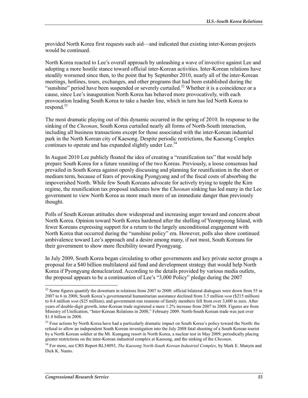provided North Korea first requests such aid—and indicated that existing inter-Korean projects would be continued.

North Korea reacted to Lee's overall approach by unleashing a wave of invective against Lee and adopting a more hostile stance toward official inter-Korean activities. Inter-Korean relations have steadily worsened since then, to the point that by September 2010, nearly all of the inter-Korean meetings, hotlines, tours, exchanges, and other programs that had been established during the "sunshine" period have been suspended or severely curtailed.<sup>32</sup> Whether it is a coincidence or a cause, since Lee's inauguration North Korea has behaved more provocatively, with each provocation leading South Korea to take a harder line, which in turn has led North Korea to respond. $33$ 

The most dramatic playing out of this dynamic occurred in the spring of 2010. In response to the sinking of the *Cheonan*, South Korea curtailed nearly all forms of North-South interaction, including all business transactions except for those associated with the inter-Korean industrial park in the North Korean city of Kaesong. Despite periodic restrictions, the Kaesong Complex continues to operate and has expanded slightly under Lee.<sup>34</sup>

In August 2010 Lee publicly floated the idea of creating a "reunification tax" that would help prepare South Korea for a future reuniting of the two Koreas. Previously, a loose consensus had prevailed in South Korea against openly discussing and planning for reunification in the short or medium term, because of fears of provoking Pyongyang and of the fiscal costs of absorbing the impoverished North. While few South Koreans advocate for actively trying to topple the Kim regime, the reunification tax proposal indicates how the *Cheonan* sinking has led many in the Lee government to view North Korea as more much more of an immediate danger than previously thought.

Polls of South Korean attitudes show widespread and increasing anger toward and concern about North Korea. Opinion toward North Korea hardened after the shelling of Yeonpyeong Island, with fewer Koreans expressing support for a return to the largely unconditional engagement with North Korea that occurred during the "sunshine policy" era. However, polls also show continued ambivalence toward Lee's approach and a desire among many, if not most, South Koreans for their government to show more flexibility toward Pyongyang.

In July 2009, South Korea began circulating to other governments and key private sector groups a proposal for a \$40 billion multilateral aid fund and development strategy that would help North Korea if Pyongyang denuclearized. According to the details provided by various media outlets, the proposal appears to be a continuation of Lee's "3,000 Policy" pledge during the 2007

 $32$  Some figures quantify the downturn in relations from 2007 to 2008: official bilateral dialogues were down from 55 in 2007 to 6 in 2008; South Korea's governmental humanitarian assistance declined from 3.5 million *won* (\$215 million) to 0.4 million *won* (\$25 million); and government-run reunions of family members fell from over 3,600 to zero. After years of double-digit growth, inter-Korean trade registered a mere 1.2% increase from 2007 to 2008. Figures are from Ministry of Unification, "Inter-Korean Relations in 2008," February 2009. North-South Korean trade was just over \$1.8 billion in 2008.

<sup>&</sup>lt;sup>33</sup> Four actions by North Korea have had a particularly dramatic impact on South Korea's policy toward the North: the refusal to allow an independent South Korean investigation into the July 2008 fatal shooting of a South Korean tourist by a North Korean soldier at the Mt. Kumgang resort in North Korea, a nuclear test in May 2009, periodically placing greater restrictions on the inter-Korean industrial complex at Kaesong, and the sinking of the *Cheonan*.

<sup>34</sup> For more, see CRS Report RL34093, *The Kaesong North-South Korean Industrial Complex*, by Mark E. Manyin and Dick K. Nanto.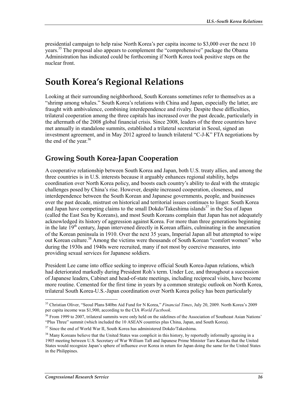presidential campaign to help raise North Korea's per capita income to \$3,000 over the next 10 years.<sup>35</sup> The proposal also appears to complement the "comprehensive" package the Obama Administration has indicated could be forthcoming if North Korea took positive steps on the nuclear front.

## **South Korea's Regional Relations**

Looking at their surrounding neighborhood, South Koreans sometimes refer to themselves as a "shrimp among whales." South Korea's relations with China and Japan, especially the latter, are fraught with ambivalence, combining interdependence and rivalry. Despite these difficulties, trilateral cooperation among the three capitals has increased over the past decade, particularly in the aftermath of the 2008 global financial crisis. Since 2008, leaders of the three countries have met annually in standalone summits, established a trilateral secretariat in Seoul, signed an investment agreement, and in May 2012 agreed to launch trilateral "C-J-K" FTA negotiations by the end of the year. $36$ 

### **Growing South Korea-Japan Cooperation**

A cooperative relationship between South Korea and Japan, both U.S. treaty allies, and among the three countries is in U.S. interests because it arguably enhances regional stability, helps coordination over North Korea policy, and boosts each country's ability to deal with the strategic challenges posed by China's rise. However, despite increased cooperation, closeness, and interdependence between the South Korean and Japanese governments, people, and businesses over the past decade, mistrust on historical and territorial issues continues to linger. South Korea and Japan have competing claims to the small Dokdo/Takeshima islands<sup>37</sup> in the Sea of Japan (called the East Sea by Koreans), and most South Koreans complain that Japan has not adequately acknowledged its history of aggression against Korea. For more than three generations beginning in the late  $19<sup>th</sup>$  century, Japan intervened directly in Korean affairs, culminating in the annexation of the Korean peninsula in 1910. Over the next 35 years, Imperial Japan all but attempted to wipe out Korean culture.<sup>38</sup> Among the victims were thousands of South Korean "comfort women" who during the 1930s and 1940s were recruited, many if not most by coercive measures, into providing sexual services for Japanese soldiers.

President Lee came into office seeking to improve official South Korea-Japan relations, which had deteriorated markedly during President Roh's term. Under Lee, and throughout a succession of Japanese leaders, Cabinet and head-of-state meetings, including reciprocal visits, have become more routine. Cemented for the first time in years by a common strategic outlook on North Korea, trilateral South Korea-U.S.-Japan coordination over North Korea policy has been particularly

<sup>35</sup> Christian Oliver, "Seoul Plans \$40bn Aid Fund for N Korea," *Financial Times*, July 20, 2009. North Korea's 2009 per capita income was \$1,900, according to the CIA *World Factbook*.

 $36$  From 1999 to 2007, trilateral summits were only held on the sidelines of the Association of Southeast Asian Nations' "Plus Three" summit (which included the 10 ASEAN countries plus China, Japan, and South Korea).

<sup>&</sup>lt;sup>37</sup> Since the end of World War II, South Korea has administered Dokdo/Takeshima.

 $38$  Many Koreans believe that the United States was complicit in this history, by reportedly informally agreeing in a 1905 meeting between U.S. Secretary of War William Taft and Japanese Prime Minister Taro Katsura that the United States would recognize Japan's sphere of influence over Korea in return for Japan doing the same for the United States in the Philippines.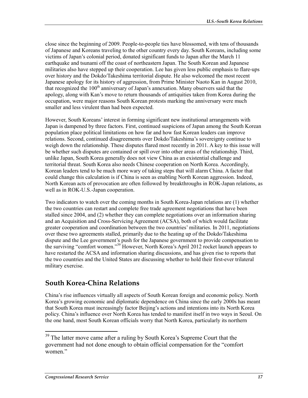close since the beginning of 2009. People-to-people ties have blossomed, with tens of thousands of Japanese and Koreans traveling to the other country every day. South Koreans, including some victims of Japan's colonial period, donated significant funds to Japan after the March 11 earthquake and tsunami off the coast of northeastern Japan. The South Korean and Japanese militaries also have stepped up their cooperation. Lee has given less public emphasis to flare-ups over history and the Dokdo/Takeshima territorial dispute. He also welcomed the most recent Japanese apology for its history of aggression, from Prime Minister Naoto Kan in August 2010, that recognized the  $100<sup>th</sup>$  anniversary of Japan's annexation. Many observers said that the apology, along with Kan's move to return thousands of antiquities taken from Korea during the occupation, were major reasons South Korean protests marking the anniversary were much smaller and less virulent than had been expected.

However, South Koreans' interest in forming significant new institutional arrangements with Japan is dampened by three factors. First, continued suspicions of Japan among the South Korean population place political limitations on how far and how fast Korean leaders can improve relations. Second, continued disagreements over Dokdo/Takeshima's sovereignty continue to weigh down the relationship. These disputes flared most recently in 2011. A key to this issue will be whether such disputes are contained or spill over into other areas of the relationship. Third, unlike Japan, South Korea generally does not view China as an existential challenge and territorial threat. South Korea also needs Chinese cooperation on North Korea. Accordingly, Korean leaders tend to be much more wary of taking steps that will alarm China. A factor that could change this calculation is if China is seen as enabling North Korean aggression. Indeed, North Korean acts of provocation are often followed by breakthroughs in ROK-Japan relations, as well as in ROK-U.S.-Japan cooperation.

Two indicators to watch over the coming months in South Korea-Japan relations are (1) whether the two countries can restart and complete free trade agreement negotiations that have been stalled since 2004, and (2) whether they can complete negotiations over an information sharing and an Acquisition and Cross-Servicing Agreement (ACSA), both of which would facilitate greater cooperation and coordination between the two countries' militaries. In 2011, negotiations over these two agreements stalled, primarily due to the heating up of the Dokdo/Takeshima dispute and the Lee government's push for the Japanese government to provide compensation to the surviving "comfort women."39 However, North Korea's April 2012 rocket launch appears to have restarted the ACSA and information sharing discussions, and has given rise to reports that the two countries and the United States are discussing whether to hold their first-ever trilateral military exercise.

### **South Korea-China Relations**

China's rise influences virtually all aspects of South Korean foreign and economic policy. North Korea's growing economic and diplomatic dependence on China since the early 2000s has meant that South Korea must increasingly factor Beijing's actions and intentions into its North Korea policy. China's influence over North Korea has tended to manifest itself in two ways in Seoul. On the one hand, most South Korean officials worry that North Korea, particularly its northern

 $39$  The latter move came after a ruling by South Korea's Supreme Court that the government had not done enough to obtain official compensation for the "comfort women."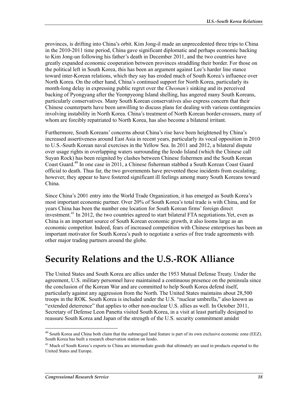provinces, is drifting into China's orbit. Kim Jong-il made an unprecedented three trips to China in the 2010-2011 time period, China gave significant diplomatic and perhaps economic backing to Kim Jong-un following his father's death in December 2011, and the two countries have greatly expanded economic cooperation between provinces straddling their border. For those on the political left in South Korea, this has been an argument against Lee's harder line stance toward inter-Korean relations, which they say has eroded much of South Korea's influence over North Korea. On the other hand, China's continued support for North Korea, particularly its month-long delay in expressing public regret over the *Cheonan's* sinking and its perceived backing of Pyongyang after the Yeonpyeong Island shelling, has angered many South Koreans, particularly conservatives. Many South Korean conservatives also express concern that their Chinese counterparts have been unwilling to discuss plans for dealing with various contingencies involving instability in North Korea. China's treatment of North Korean border-crossers, many of whom are forcibly repatriated to North Korea, has also become a bilateral irritant.

Furthermore, South Koreans' concerns about China's rise have been heightened by China's increased assertiveness around East Asia in recent years, particularly its vocal opposition in 2010 to U.S.-South Korean naval exercises in the Yellow Sea. In 2011 and 2012, a bilateral dispute over usage rights in overlapping waters surrounding the Ieodo Island (which the Chinese call Suyan Rock) has been reignited by clashes between Chinese fishermen and the South Korean Coast Guard.40 In one case in 2011, a Chinese fisherman stabbed a South Korean Coast Guard official to death. Thus far, the two governments have prevented these incidents from escalating; however, they appear to have fostered significant ill feelings among many South Koreans toward China.

Since China's 2001 entry into the World Trade Organization, it has emerged as South Korea's most important economic partner. Over 20% of South Korea's total trade is with China, and for years China has been the number one location for South Korean firms' foreign direct investment.<sup>41</sup> In 2012, the two countries agreed to start bilateral FTA negotiations. Yet, even as China is an important source of South Korean economic growth, it also looms large as an economic competitor. Indeed, fears of increased competition with Chinese enterprises has been an important motivator for South Korea's push to negotiate a series of free trade agreements with other major trading partners around the globe.

## **Security Relations and the U.S.-ROK Alliance**

The United States and South Korea are allies under the 1953 Mutual Defense Treaty. Under the agreement, U.S. military personnel have maintained a continuous presence on the peninsula since the conclusion of the Korean War and are committed to help South Korea defend itself, particularly against any aggression from the North. The United States maintains about 28,500 troops in the ROK. South Korea is included under the U.S. "nuclear umbrella," also known as "extended deterrence" that applies to other non-nuclear U.S. allies as well. In October 2011, Secretary of Defense Leon Panetta visited South Korea, in a visit at least partially designed to reassure South Korea and Japan of the strength of the U.S. security commitment amidst

<sup>&</sup>lt;sup>40</sup> South Korea and China both claim that the submerged land feature is part of its own exclusive economic zone (EEZ). South Korea has built a research observation station on Ieodo.

<sup>&</sup>lt;sup>41</sup> Much of South Korea's exports to China are intermediate goods that ultimately are used in products exported to the United States and Europe.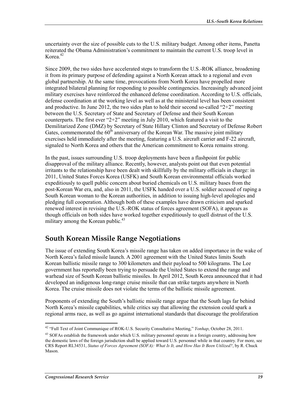uncertainty over the size of possible cuts to the U.S. military budget. Among other items, Panetta reiterated the Obama Administration's commitment to maintain the current U.S. troop level in Korea<sup>42</sup>

Since 2009, the two sides have accelerated steps to transform the U.S.-ROK alliance, broadening it from its primary purpose of defending against a North Korean attack to a regional and even global partnership. At the same time, provocations from North Korea have propelled more integrated bilateral planning for responding to possible contingencies. Increasingly advanced joint military exercises have reinforced the enhanced defense coordination. According to U.S. officials, defense coordination at the working level as well as at the ministerial level has been consistent and productive. In June 2012, the two sides plan to hold their second so-called " $2+2$ " meeting between the U.S. Secretary of State and Secretary of Defense and their South Korean counterparts. The first ever " $2+2$ " meeting in July 2010, which featured a visit to the Demilitarized Zone (DMZ) by Secretary of State Hillary Clinton and Secretary of Defense Robert Gates, commemorated the  $60<sup>th</sup>$  anniversary of the Korean War. The massive joint military exercises held immediately after the meeting, featuring a U.S. aircraft carrier and F-22 aircraft, signaled to North Korea and others that the American commitment to Korea remains strong.

In the past, issues surrounding U.S. troop deployments have been a flashpoint for public disapproval of the military alliance. Recently, however, analysts point out that even potential irritants to the relationship have been dealt with skillfully by the military officials in charge: in 2011, United States Forces Korea (USFK) and South Korean environmental officials worked expeditiously to quell public concern about buried chemicals on U.S. military bases from the post-Korean War era, and, also in 2011, the USFK handed over a U.S. soldier accused of raping a South Korean woman to the Korean authorities, in addition to issuing high-level apologies and pledging full cooperation. Although both of these examples have drawn criticism and sparked renewed interest in revising the U.S.-ROK status of forces agreement (SOFA), it appears as though officials on both sides have worked together expeditiously to quell distrust of the U.S. military among the Korean public. $43$ 

## **South Korean Missile Range Negotiations**

The issue of extending South Korea's missile range has taken on added importance in the wake of North Korea's failed missile launch. A 2001 agreement with the United States limits South Korean ballistic missile range to 300 kilometers and their payload to 500 kilograms. The Lee government has reportedly been trying to persuade the United States to extend the range and warhead size of South Korean ballistic missiles. In April 2012, South Korea announced that it had developed an indigenous long-range cruise missile that can strike targets anywhere in North Korea. The cruise missile does not violate the terms of the ballistic missile agreement.

Proponents of extending the South's ballistic missile range argue that the South lags far behind North Korea's missile capabilities, while critics say that allowing the extension could spark a regional arms race, as well as go against international standards that discourage the proliferation

<sup>1</sup> 42 "Full Text of Joint Communique of ROK-U.S. Security Consultative Meeting," *Yonhap*, October 28, 2011.

<sup>&</sup>lt;sup>43</sup> SOFAs establish the framework under which U.S. military personnel operate in a foreign country, addressing how the domestic laws of the foreign jurisdiction shall be applied toward U.S. personnel while in that country. For more, see CRS Report RL34531, *Status of Forces Agreement (SOFA): What Is It, and How Has It Been Utilized?*, by R. Chuck Mason.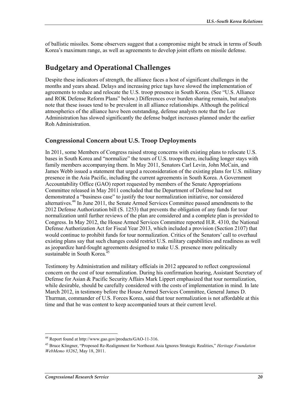of ballistic missiles. Some observers suggest that a compromise might be struck in terms of South Korea's maximum range, as well as agreements to develop joint efforts on missile defense.

## **Budgetary and Operational Challenges**

Despite these indicators of strength, the alliance faces a host of significant challenges in the months and years ahead. Delays and increasing price tags have slowed the implementation of agreements to reduce and relocate the U.S. troop presence in South Korea. (See "U.S. Alliance and ROK Defense Reform Plans" below.) Differences over burden sharing remain, but analysts note that these issues tend to be prevalent in all alliance relationships. Although the political atmospherics of the alliance have been outstanding, defense analysts note that the Lee Administration has slowed significantly the defense budget increases planned under the earlier Roh Administration.

### **Congressional Concern about U.S. Troop Deployments**

In 2011, some Members of Congress raised strong concerns with existing plans to relocate U.S. bases in South Korea and "normalize" the tours of U.S. troops there, including longer stays with family members accompanying them. In May 2011, Senators Carl Levin, John McCain, and James Webb issued a statement that urged a reconsideration of the existing plans for U.S. military presence in the Asia Pacific, including the current agreements in South Korea. A Government Accountability Office (GAO) report requested by members of the Senate Appropriations Committee released in May 2011 concluded that the Department of Defense had not demonstrated a "business case" to justify the tour normalization initiative, nor considered alternatives.<sup>44</sup> In June 2011, the Senate Armed Services Committee passed amendments to the 2012 Defense Authorization bill (S. 1253) that prevents the obligation of any funds for tour normalization until further reviews of the plan are considered and a complete plan is provided to Congress. In May 2012, the House Armed Services Committee reported H.R. 4310, the National Defense Authorization Act for Fiscal Year 2013, which included a provision (Section 2107) that would continue to prohibit funds for tour normalization. Critics of the Senators' call to overhaul existing plans say that such changes could restrict U.S. military capabilities and readiness as well as jeopardize hard-fought agreements designed to make U.S. presence more politically sustainable in South Korea.<sup>45</sup>

Testimony by Administration and military officials in 2012 appeared to reflect congressional concern on the cost of tour normalization. During his confirmation hearing, Assistant Secretary of Defense for Asian & Pacific Security Affairs Mark Lippert emphasized that tour normalization, while desirable, should be carefully considered with the costs of implementation in mind. In late March 2012, in testimony before the House Armed Services Committee, General James D. Thurman, commander of U.S. Forces Korea, said that tour normalization is not affordable at this time and that he was content to keep accompanied tours at their current level.

<sup>44</sup> Report found at http://www.gao.gov/products/GAO-11-316.

<sup>45</sup> Bruce Klingner, "Proposed Re-Realignment for Northeast Asia Ignores Strategic Realities," *Heritage Foundation WebMemo #3262*, May 18, 2011.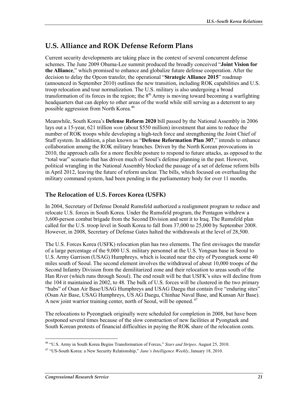## **U.S. Alliance and ROK Defense Reform Plans**

Current security developments are taking place in the context of several concurrent defense schemes. The June 2009 Obama-Lee summit produced the broadly conceived "**Joint Vision for the Alliance**," which promised to enhance and globalize future defense cooperation. After the decision to delay the Opcon transfer, the operational "**Strategic Alliance 2015**" roadmap (announced in September 2010) outlines the new transition, including ROK capabilities and U.S. troop relocation and tour normalization. The U.S. military is also undergoing a broad transformation of its forces in the region; the  $8<sup>th</sup>$  Army is moving toward becoming a warfighting headquarters that can deploy to other areas of the world while still serving as a deterrent to any possible aggression from North Korea.<sup>46</sup>

Meanwhile, South Korea's **Defense Reform 2020** bill passed by the National Assembly in 2006 lays out a 15-year, 621 trillion *won* (about \$550 million) investment that aims to reduce the number of ROK troops while developing a high-tech force and strengthening the Joint Chief of Staff system. In addition, a plan known as "**Defense Reformation Plan 307**," intends to enhance collaboration among the ROK military branches. Driven by the North Korean provocations in 2010, the approach calls for a more flexible posture to respond to future attacks, as opposed to the "total war" scenario that has driven much of Seoul's defense planning in the past. However, political wrangling in the National Assembly blocked the passage of a set of defense reform bills in April 2012, leaving the future of reform unclear. The bills, which focused on overhauling the military command system, had been pending in the parliamentary body for over 11 months.

### **The Relocation of U.S. Forces Korea (USFK)**

In 2004, Secretary of Defense Donald Rumsfeld authorized a realignment program to reduce and relocate U.S. forces in South Korea. Under the Rumsfeld program, the Pentagon withdrew a 3,600-person combat brigade from the Second Division and sent it to Iraq. The Rumsfeld plan called for the U.S. troop level in South Korea to fall from 37,000 to 25,000 by September 2008. However, in 2008, Secretary of Defense Gates halted the withdrawals at the level of 28,500.

The U.S. Forces Korea (USFK) relocation plan has two elements. The first envisages the transfer of a large percentage of the 9,000 U.S. military personnel at the U.S. Yongsan base in Seoul to U.S. Army Garrison (USAG) Humphreys, which is located near the city of Pyeongtaek some 40 miles south of Seoul. The second element involves the withdrawal of about 10,000 troops of the Second Infantry Division from the demilitarized zone and their relocation to areas south of the Han River (which runs through Seoul). The end result will be that USFK's sites will decline from the 104 it maintained in 2002, to 48. The bulk of U.S. forces will be clustered in the two primary "hubs" of Osan Air Base/USAG Humphreys and USAG Daegu that contain five "enduring sites" (Osan Air Base, USAG Humphreys, US AG Daegu, Chinhae Naval Base, and Kunsan Air Base). A new joint warrior training center, north of Seoul, will be opened.<sup>47</sup>

The relocations to Pyeongtaek originally were scheduled for completion in 2008, but have been postponed several times because of the slow construction of new facilities at Pyongtaek and South Korean protests of financial difficulties in paying the ROK share of the relocation costs.

<sup>1</sup> 46 "U.S. Army in South Korea Begins Transformation of Forces," *Stars and Stripes*. August 25, 2010.

<sup>47 &</sup>quot;US-South Korea: a New Security Relationship," *Jane's Intelligence Weekly*, January 18, 2010.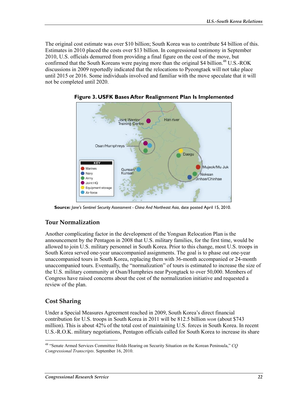The original cost estimate was over \$10 billion; South Korea was to contribute \$4 billion of this. Estimates in 2010 placed the costs over \$13 billion. In congressional testimony in September 2010, U.S. officials demurred from providing a final figure on the cost of the move, but confirmed that the South Koreans were paying more than the original \$4 billion.<sup>48</sup> U.S.-ROK discussions in 2009 reportedly indicated that the relocations to Pyeongtaek will not take place until 2015 or 2016. Some individuals involved and familiar with the move speculate that it will not be completed until 2020.



**Figure 3. USFK Bases After Realignment Plan Is Implemented** 

**Source:** *Jane's Sentinel Security Assessment - China And Northeast Asia*, date posted April 15, 2010.

### **Tour Normalization**

Another complicating factor in the development of the Yongsan Relocation Plan is the announcement by the Pentagon in 2008 that U.S. military families, for the first time, would be allowed to join U.S. military personnel in South Korea. Prior to this change, most U.S. troops in South Korea served one-year unaccompanied assignments. The goal is to phase out one-year unaccompanied tours in South Korea, replacing them with 36-month accompanied or 24-month unaccompanied tours. Eventually, the "normalization" of tours is estimated to increase the size of the U.S. military community at Osan/Humphries near Pyongtaek to over 50,000. Members of Congress have raised concerns about the cost of the normalization initiative and requested a review of the plan.

### **Cost Sharing**

Under a Special Measures Agreement reached in 2009, South Korea's direct financial contribution for U.S. troops in South Korea in 2011 will be 812.5 billion *won* (about \$743 million). This is about 42% of the total cost of maintaining U.S. forces in South Korea. In recent U.S.-R.O.K. military negotiations, Pentagon officials called for South Korea to increase its share

<sup>1</sup> 48 "Senate Armed Services Committee Holds Hearing on Security Situation on the Korean Peninsula," *CQ Congressional Transcripts*. September 16, 2010.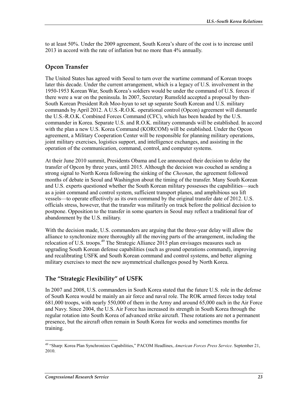to at least 50%. Under the 2009 agreement, South Korea's share of the cost is to increase until 2013 in accord with the rate of inflation but no more than 4% annually.

### **Opcon Transfer**

The United States has agreed with Seoul to turn over the wartime command of Korean troops later this decade. Under the current arrangement, which is a legacy of U.S. involvement in the 1950-1953 Korean War, South Korea's soldiers would be under the command of U.S. forces if there were a war on the peninsula. In 2007, Secretary Rumsfeld accepted a proposal by then-South Korean President Roh Moo-hyun to set up separate South Korean and U.S. military commands by April 2012. A U.S.-R.O.K. operational control (Opcon) agreement will dismantle the U.S.-R.O.K. Combined Forces Command (CFC), which has been headed by the U.S. commander in Korea. Separate U.S. and R.O.K. military commands will be established. In accord with the plan a new U.S. Korea Command (KORCOM) will be established. Under the Opcon agreement, a Military Cooperation Center will be responsible for planning military operations, joint military exercises, logistics support, and intelligence exchanges, and assisting in the operation of the communication, command, control, and computer systems.

At their June 2010 summit, Presidents Obama and Lee announced their decision to delay the transfer of Opcon by three years, until 2015. Although the decision was couched as sending a strong signal to North Korea following the sinking of the *Cheonan*, the agreement followed months of debate in Seoul and Washington about the timing of the transfer. Many South Korean and U.S. experts questioned whether the South Korean military possesses the capabilities—such as a joint command and control system, sufficient transport planes, and amphibious sea lift vessels—to operate effectively as its own command by the original transfer date of 2012. U.S. officials stress, however, that the transfer was militarily on track before the political decision to postpone. Opposition to the transfer in some quarters in Seoul may reflect a traditional fear of abandonment by the U.S. military.

With the decision made, U.S. commanders are arguing that the three-year delay will allow the alliance to synchronize more thoroughly all the moving parts of the arrangement, including the relocation of U.S. troops.<sup>49</sup> The Strategic Alliance 2015 plan envisages measures such as upgrading South Korean defense capabilities (such as ground operations command), improving and recalibrating USFK and South Korean command and control systems, and better aligning military exercises to meet the new asymmetrical challenges posed by North Korea.

### **The "Strategic Flexibility" of USFK**

In 2007 and 2008, U.S. commanders in South Korea stated that the future U.S. role in the defense of South Korea would be mainly an air force and naval role. The ROK armed forces today total 681,000 troops, with nearly 550,000 of them in the Army and around 65,000 each in the Air Force and Navy. Since 2004, the U.S. Air Force has increased its strength in South Korea through the regular rotation into South Korea of advanced strike aircraft. These rotations are not a permanent presence, but the aircraft often remain in South Korea for weeks and sometimes months for training.

<sup>49 &</sup>quot;Sharp: Korea Plan Synchronizes Capabilities," PACOM Headlines, *American Forces Press Service*. September 21, 2010.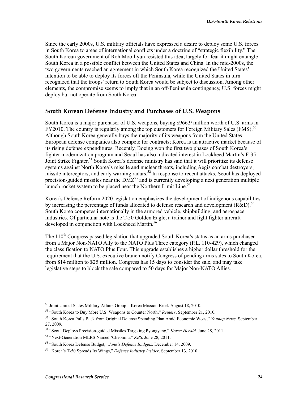Since the early 2000s, U.S. military officials have expressed a desire to deploy some U.S. forces in South Korea to areas of international conflicts under a doctrine of "strategic flexibility." The South Korean government of Roh Moo-hyun resisted this idea, largely for fear it might entangle South Korea in a possible conflict between the United States and China. In the mid-2000s, the two governments reached an agreement in which South Korea recognized the United States' intention to be able to deploy its forces off the Peninsula, while the United States in turn recognized that the troops' return to South Korea would be subject to discussion. Among other elements, the compromise seems to imply that in an off-Peninsula contingency, U.S. forces might deploy but not operate from South Korea.

#### **South Korean Defense Industry and Purchases of U.S. Weapons**

South Korea is a major purchaser of U.S. weapons, buying \$966.9 million worth of U.S. arms in FY2010. The country is regularly among the top customers for Foreign Military Sales (FMS).<sup>50</sup> Although South Korea generally buys the majority of its weapons from the United States, European defense companies also compete for contracts; Korea is an attractive market because of its rising defense expenditures. Recently, Boeing won the first two phases of South Korea's fighter modernization program and Seoul has also indicated interest in Lockheed Martin's F-35 Joint Strike Fighter.<sup>51</sup> South Korea's defense ministry has said that it will prioritize its defense systems against North Korea's missile and nuclear threats, including Aegis combat destroyers, missile interceptors, and early warning radars.<sup>52</sup> In response to recent attacks, Seoul has deployed precision-guided missiles near the  $DMZ^{53}$  and is currently developing a next generation multiple launch rocket system to be placed near the Northern Limit Line.<sup>54</sup>

Korea's Defense Reform 2020 legislation emphasizes the development of indigenous capabilities by increasing the percentage of funds allocated to defense research and development ( $R&D$ ).<sup>55</sup> South Korea competes internationally in the armored vehicle, shipbuilding, and aerospace industries. Of particular note is the T-50 Golden Eagle, a trainer and light fighter aircraft developed in conjunction with Lockheed Martin.<sup>56</sup>

The  $110<sup>th</sup>$  Congress passed legislation that upgraded South Korea's status as an arms purchaser from a Major Non-NATO Ally to the NATO Plus Three category (P.L. 110-429), which changed the classification to NATO Plus Four. This upgrade establishes a higher dollar threshold for the requirement that the U.S. executive branch notify Congress of pending arms sales to South Korea, from \$14 million to \$25 million. Congress has 15 days to consider the sale, and may take legislative steps to block the sale compared to 50 days for Major Non-NATO Allies.

<sup>1</sup> 50 Joint United States Military Affairs Group—Korea Mission Brief. August 18, 2010.

<sup>51 &</sup>quot;South Korea to Buy More U.S. Weapons to Counter North," *Reuters*. September 21, 2010.

<sup>52 &</sup>quot;South Korea Pulls Back from Original Defense Spending Plan Amid Economic Woes," *Yonhap News*. September 27, 2009.

<sup>53 &</sup>quot;Seoul Deploys Precision-guided Missiles Targeting Pyongyang," *Korea Herald*. June 28, 2011.

<sup>54 &</sup>quot;Next-Generation MLRS Named 'Cheonmu," *KBS*. June 28, 2011.

<sup>55 &</sup>quot;South Korea Defense Budget," *Jane's Defence Budgets*. December 14, 2009.

<sup>56 &</sup>quot;Korea's T-50 Spreads Its Wings," *Defense Industry Insider*. September 13, 2010.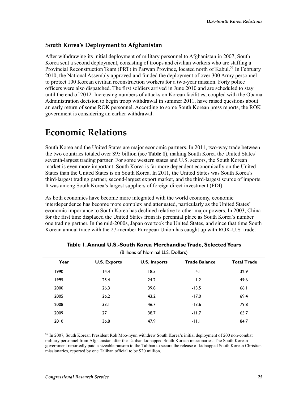### **South Korea's Deployment to Afghanistan**

After withdrawing its initial deployment of military personnel to Afghanistan in 2007, South Korea sent a second deployment, consisting of troops and civilian workers who are staffing a Provincial Reconstruction Team (PRT) in Parwan Province, located north of Kabul.<sup>57</sup> In February 2010, the National Assembly approved and funded the deployment of over 300 Army personnel to protect 100 Korean civilian reconstruction workers for a two-year mission. Forty police officers were also dispatched. The first soldiers arrived in June 2010 and are scheduled to stay until the end of 2012. Increasing numbers of attacks on Korean facilities, coupled with the Obama Administration decision to begin troop withdrawal in summer 2011, have raised questions about an early return of some ROK personnel. According to some South Korean press reports, the ROK government is considering an earlier withdrawal.

# **Economic Relations**

South Korea and the United States are major economic partners. In 2011, two-way trade between the two countries totaled over \$95 billion (see **Table 1**), making South Korea the United States' seventh-largest trading partner. For some western states and U.S. sectors, the South Korean market is even more important. South Korea is far more dependent economically on the United States than the United States is on South Korea. In 2011, the United States was South Korea's third-largest trading partner, second-largest export market, and the third-largest source of imports. It was among South Korea's largest suppliers of foreign direct investment (FDI).

As both economies have become more integrated with the world economy, economic interdependence has become more complex and attenuated, particularly as the United States' economic importance to South Korea has declined relative to other major powers. In 2003, China for the first time displaced the United States from its perennial place as South Korea's number one trading partner. In the mid-2000s, Japan overtook the United States, and since that time South Korean annual trade with the 27-member European Union has caught up with ROK-U.S. trade.

| Year | <b>U.S. Exports</b> | <b>U.S. Imports</b> | <b>Trade Balance</b> | <b>Total Trade</b> |
|------|---------------------|---------------------|----------------------|--------------------|
| 1990 | 14.4                | 18.5                | $-4.1$               | 32.9               |
| 1995 | 25.4                | 24.2                | 1.2                  | 49.6               |
| 2000 | 26.3                | 39.8                | $-13.5$              | 66.1               |
| 2005 | 26.2                | 43.2                | $-17.0$              | 69.4               |
| 2008 | 33.1                | 46.7                | $-13.6$              | 79.8               |
| 2009 | 27                  | 38.7                | $-11.7$              | 65.7               |
| 2010 | 36.8                | 47.9                | $-11.1$              | 84.7               |
|      |                     |                     |                      |                    |

| Table 1.Annual U.S.-South Korea MerchandiseTrade, Selected Years |  |
|------------------------------------------------------------------|--|
| (Billions of Nominal U.S. Dollars)                               |  |

1 57 In 2007, South Korean President Roh Moo-hyun withdrew South Korea's initial deployment of 200 non-combat military personnel from Afghanistan after the Taliban kidnapped South Korean missionaries. The South Korean government reportedly paid a sizeable ransom to the Taliban to secure the release of kidnapped South Korean Christian missionaries, reported by one Taliban official to be \$20 million.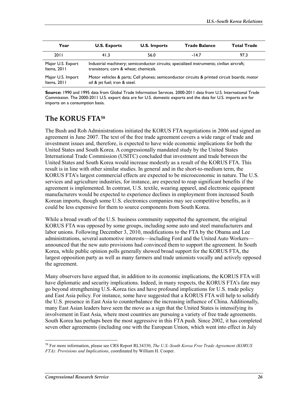| Year              | <b>U.S. Exports</b>                                                                         | <b>U.S. Imports</b> | <b>Trade Balance</b> | <b>Total Trade</b> |
|-------------------|---------------------------------------------------------------------------------------------|---------------------|----------------------|--------------------|
| 2011              | 41.3                                                                                        | 56.0                | $-14.7$              | 97.3               |
| Major U.S. Export | Industrial machinery; semiconductor circuits; specialized instruments; civilian aircraft;   |                     |                      |                    |
| Items, 2011       | transistors; corn & wheat; chemicals.                                                       |                     |                      |                    |
| Major U.S. Import | Motor vehicles & parts; Cell phones; semiconductor circuits & printed circuit boards; motor |                     |                      |                    |
| Items, 2011       | oil & jet fuel; iron & steel.                                                               |                     |                      |                    |

**Source:** 1990 and 1995 data from Global Trade Information Services. 2000-2011 data from U.S. International Trade Commission. The 2000-2011 U.S. export data are for U.S. domestic exports and the data for U.S. imports are for imports on a consumption basis.

## **The KORUS FTA58**

The Bush and Roh Administrations initiated the KORUS FTA negotiations in 2006 and signed an agreement in June 2007. The text of the free trade agreement covers a wide range of trade and investment issues and, therefore, is expected to have wide economic implications for both the United States and South Korea. A congressionally mandated study by the United States International Trade Commission (USITC) concluded that investment and trade between the United States and South Korea would increase modestly as a result of the KORUS FTA. This result is in line with other similar studies. In general and in the short-to-medium term, the KORUS FTA's largest commercial effects are expected to be microeconomic in nature. The U.S. services and agriculture industries, for instance, are expected to reap significant benefits if the agreement is implemented. In contrast, U.S. textile, wearing apparel, and electronic equipment manufacturers would be expected to experience declines in employment from increased South Korean imports, though some U.S. electronics companies may see competitive benefits, as it could be less expensive for them to source components from South Korea.

While a broad swath of the U.S. business community supported the agreement, the original KORUS FTA was opposed by some groups, including some auto and steel manufacturers and labor unions. Following December 3, 2010, modifications to the FTA by the Obama and Lee administrations, several automotive interests—including Ford and the United Auto Workers announced that the new auto provisions had convinced them to support the agreement. In South Korea, while public opinion polls generally showed broad support for the KORUS FTA, the largest opposition party as well as many farmers and trade unionists vocally and actively opposed the agreement.

Many observers have argued that, in addition to its economic implications, the KORUS FTA will have diplomatic and security implications. Indeed, in many respects, the KORUS FTA's fate may go beyond strengthening U.S.-Korea ties and have profound implications for U.S. trade policy and East Asia policy. For instance, some have suggested that a KORUS FTA will help to solidify the U.S. presence in East Asia to counterbalance the increasing influence of China. Additionally, many East Asian leaders have seen the move as a sign that the United States is intensifying its involvement in East Asia, where most countries are pursuing a variety of free trade agreements. South Korea has perhaps been the most aggressive in this FTA push. Since 2002, it has completed seven other agreements (including one with the European Union, which went into effect in July

<sup>58</sup> For more information, please see CRS Report RL34330, *The U.S.-South Korea Free Trade Agreement (KORUS FTA): Provisions and Implications*, coordinated by William H. Cooper.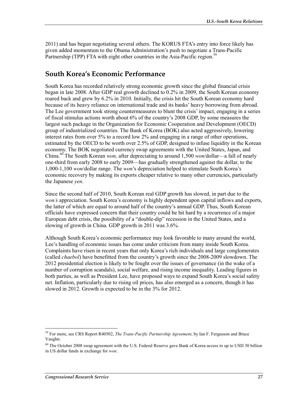2011) and has begun negotiating several others. The KORUS FTA's entry into force likely has given added momentum to the Obama Administration's push to negotiate a Trans-Pacific Partnership (TPP) FTA with eight other countries in the Asia-Pacific region.<sup>59</sup>

### **South Korea's Economic Performance**

South Korea has recorded relatively strong economic growth since the global financial crisis began in late 2008. After GDP real growth declined to 0.2% in 2009, the South Korean economy roared back and grew by 6.2% in 2010. Initially, the crisis hit the South Korean economy hard because of its heavy reliance on international trade and its banks' heavy borrowing from abroad. The Lee government took strong countermeasures to blunt the crisis' impact, engaging in a series of fiscal stimulus actions worth about 6% of the country's 2008 GDP, by some measures the largest such package in the Organization for Economic Cooperation and Development (OECD) group of industrialized countries. The Bank of Korea (BOK) also acted aggressively, lowering interest rates from over 5% to a record low 2% and engaging in a range of other operations, estimated by the OECD to be worth over 2.5% of GDP, designed to infuse liquidity in the Korean economy. The BOK negotiated currency swap agreements with the United States, Japan, and China.60 The South Korean *won,* after depreciating to around 1,500 *won*/dollar—a fall of nearly one-third from early 2008 to early 2009—has gradually strengthened against the dollar, to the 1,000-1,100 *won*/dollar range. The *won*'s depreciation helped to stimulate South Korea's economic recovery by making its exports cheaper relative to many other currencies, particularly the Japanese *yen*.

Since the second half of 2010, South Korean real GDP growth has slowed, in part due to the *won's* appreciation. South Korea's economy is highly dependent upon capital inflows and exports, the latter of which are equal to around half of the country's annual GDP. Thus, South Korean officials have expressed concern that their country could be hit hard by a recurrence of a major European debt crisis, the possibility of a "double-dip" recession in the United States, and a slowing of growth in China. GDP growth in 2011 was 3.6%.

Although South Korea's economic performance may look favorable to many around the world, Lee's handling of economic issues has come under criticism from many inside South Korea. Complaints have risen in recent years that only Korea's rich individuals and large conglomerates (called *chaebol*) have benefitted from the country's growth since the 2008-2009 slowdown. The 2012 presidential election is likely to be fought over the issues of governance (in the wake of a number of corruption scandals), social welfare, and rising income inequality. Leading figures in both parties, as well as President Lee, have proposed ways to expand South Korea's social safety net. Inflation, particularly due to rising oil prices, has also emerged as a concern, though it has slowed in 2012. Growth is expected to be in the 3% for 2012.

<sup>59</sup> For more, see CRS Report R40502, *The Trans-Pacific Partnership Agreement*, by Ian F. Fergusson and Bruce Vaughn.

<sup>&</sup>lt;sup>60</sup> The October 2008 swap agreement with the U.S. Federal Reserve gave Bank of Korea access to up to USD 30 billion in US dollar funds in exchange for *won*.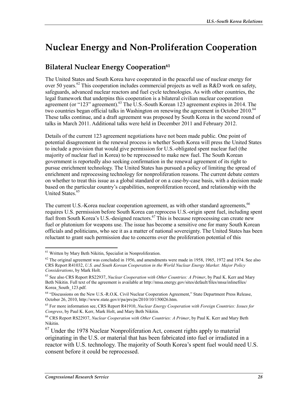# **Nuclear Energy and Non-Proliferation Cooperation**

## **Bilateral Nuclear Energy Cooperation**<sup>61</sup>

The United States and South Korea have cooperated in the peaceful use of nuclear energy for over 50 years.<sup>62</sup> This cooperation includes commercial projects as well as R&D work on safety, safeguards, advanced nuclear reactors and fuel cycle technologies. As with other countries, the legal framework that underpins this cooperation is a bilateral civilian nuclear cooperation agreement (or "123" agreement).<sup>63</sup> The U.S.-South Korean 123 agreement expires in 2014. The two countries began official talks in Washington on renewing the agreement in October 2010.<sup>64</sup> These talks continue, and a draft agreement was proposed by South Korea in the second round of talks in March 2011. Additional talks were held in December 2011 and February 2012.

Details of the current 123 agreement negotiations have not been made public. One point of potential disagreement in the renewal process is whether South Korea will press the United States to include a provision that would give permission for U.S.-obligated spent nuclear fuel (the majority of nuclear fuel in Korea) to be reprocessed to make new fuel. The South Korean government is reportedly also seeking confirmation in the renewal agreement of its right to pursue enrichment technology. The United States has pursued a policy of limiting the spread of enrichment and reprocessing technology for nonproliferation reasons. The current debate centers on whether to treat this issue as a global standard or on a case-by-case basis, with a decision made based on the particular country's capabilities, nonproliferation record, and relationship with the United States.<sup>65</sup>

The current U.S.-Korea nuclear cooperation agreement, as with other standard agreements,  $66$ requires U.S. permission before South Korea can reprocess U.S.-origin spent fuel, including spent fuel from South Korea's U.S.-designed reactors.<sup>67</sup> This is because reprocessing can create new fuel or plutonium for weapons use. The issue has become a sensitive one for many South Korean officials and politicians, who see it as a matter of national sovereignty. The United States has been reluctant to grant such permission due to concerns over the proliferation potential of this

<sup>&</sup>lt;sup>61</sup> Written by Mary Beth Nikitin, Specialist in Nonproliferation.

 $62$  The original agreement was concluded in 1956, and amendments were made in 1958, 1965, 1972 and 1974. See also CRS Report R41032, *U.S. and South Korean Cooperation in the World Nuclear Energy Market: Major Policy Considerations*, by Mark Holt.

<sup>63</sup> See also CRS Report RS22937, *Nuclear Cooperation with Other Countries: A Primer*, by Paul K. Kerr and Mary Beth Nikitin. Full text of the agreement is available at http://nnsa.energy.gov/sites/default/files/nnsa/inlinefiles/ Korea\_South\_123.pdf.

<sup>64 &</sup>quot;Discussions on the New U.S.-R.O.K. Civil Nuclear Cooperation Agreement," State Department Press Release, October 26, 2010, http://www.state.gov/r/pa/prs/ps/2010/10/150026.htm.

<sup>65</sup> For more information see, CRS Report R41910, *Nuclear Energy Cooperation with Foreign Countries: Issues for Congress*, by Paul K. Kerr, Mark Holt, and Mary Beth Nikitin.

<sup>66</sup> CRS Report RS22937, *Nuclear Cooperation with Other Countries: A Primer*, by Paul K. Kerr and Mary Beth Nikitin.

 $67$  Under the 1978 Nuclear Nonproliferation Act, consent rights apply to material originating in the U.S. or material that has been fabricated into fuel or irradiated in a reactor with U.S. technology. The majority of South Korea's spent fuel would need U.S. consent before it could be reprocessed.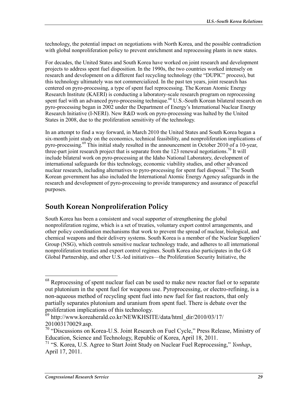technology, the potential impact on negotiations with North Korea, and the possible contradiction with global nonproliferation policy to prevent enrichment and reprocessing plants in new states.

For decades, the United States and South Korea have worked on joint research and development projects to address spent fuel disposition. In the 1990s, the two countries worked intensely on research and development on a different fuel recycling technology (the "DUPIC" process), but this technology ultimately was not commercialized. In the past ten years, joint research has centered on pyro-processing, a type of spent fuel reprocessing. The Korean Atomic Energy Research Institute (KAERI) is conducting a laboratory-scale research program on reprocessing spent fuel with an advanced pyro-processing technique.<sup>68</sup> U.S.-South Korean bilateral research on pyro-processing began in 2002 under the Department of Energy's International Nuclear Energy Research Initiative (I-NERI). New R&D work on pyro-processing was halted by the United States in 2008, due to the proliferation sensitivity of the technology.

In an attempt to find a way forward, in March 2010 the United States and South Korea began a six-month joint study on the economics, technical feasibility, and nonproliferation implications of pyro-processing.<sup>69</sup> This initial study resulted in the announcement in October 2010 of a 10-year, three-part joint research project that is separate from the 123 renewal negotiations.<sup>70</sup> It will include bilateral work on pyro-processing at the Idaho National Laboratory, development of international safeguards for this technology, economic viability studies, and other advanced nuclear research, including alternatives to pyro-processing for spent fuel disposal.<sup>71</sup> The South Korean government has also included the International Atomic Energy Agency safeguards in the research and development of pyro-processing to provide transparency and assurance of peaceful purposes.

## **South Korean Nonproliferation Policy**

South Korea has been a consistent and vocal supporter of strengthening the global nonproliferation regime, which is a set of treaties, voluntary export control arrangements, and other policy coordination mechanisms that work to prevent the spread of nuclear, biological, and chemical weapons and their delivery systems. South Korea is a member of the Nuclear Suppliers' Group (NSG), which controls sensitive nuclear technology trade, and adheres to all international nonproliferation treaties and export control regimes. South Korea also participates in the G-8 Global Partnership, and other U.S.-led initiatives—the Proliferation Security Initiative, the

 $68$  Reprocessing of spent nuclear fuel can be used to make new reactor fuel or to separate out plutonium in the spent fuel for weapons use. Pyroprocessing, or electro-refining, is a non-aqueous method of recycling spent fuel into new fuel for fast reactors, that only partially separates plutonium and uranium from spent fuel. There is debate over the proliferation implications of this technology.

 $69$  http://www.koreaherald.co.kr/NEWKHSITE/data/html\_dir/2010/03/17/ 201003170029.asp.

<sup>&</sup>lt;sup>70</sup> "Discussions on Korea-U.S. Joint Research on Fuel Cycle," Press Release, Ministry of Education, Science and Technology, Republic of Korea, April 18, 2011.

<sup>71 &</sup>quot;S. Korea, U.S. Agree to Start Joint Study on Nuclear Fuel Reprocessing," *Yonhap*, April 17, 2011.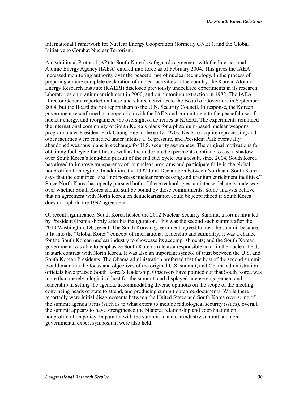International Framework for Nuclear Energy Cooperation (formerly GNEP), and the Global Initiative to Combat Nuclear Terrorism.

An Additional Protocol (AP) to South Korea's safeguards agreement with the International Atomic Energy Agency (IAEA) entered into force as of February 2004. This gives the IAEA increased monitoring authority over the peaceful use of nuclear technology. In the process of preparing a more complete declaration of nuclear activities in the country, the Korean Atomic Energy Research Institute (KAERI) disclosed previously undeclared experiments in its research laboratories on uranium enrichment in 2000, and on plutonium extraction in 1982. The IAEA Director General reported on these undeclared activities to the Board of Governors in September 2004, but the Board did not report them to the U.N. Security Council. In response, the Korean government reconfirmed its cooperation with the IAEA and commitment to the peaceful use of nuclear energy, and reorganized the oversight of activities at KAERI. The experiments reminded the international community of South Korea's plans for a plutonium-based nuclear weapons program under President Park Chung Hee in the early 1970s. Deals to acquire reprocessing and other facilities were canceled under intense U.S. pressure, and President Park eventually abandoned weapons plans in exchange for U.S. security assurances. The original motivations for obtaining fuel cycle facilities as well as the undeclared experiments continue to cast a shadow over South Korea's long-held pursuit of the full fuel cycle. As a result, since 2004, South Korea has aimed to improve transparency of its nuclear programs and participate fully in the global nonproliferation regime. In addition, the 1992 Joint Declaration between North and South Korea says that the countries "shall not possess nuclear reprocessing and uranium enrichment facilities." Since North Korea has openly pursued both of these technologies, an intense debate is underway over whether South Korea should still be bound by those commitments. Some analysts believe that an agreement with North Korea on denuclearization could be jeopardized if South Korea does not uphold the 1992 agreement.

Of recent significance, South Korea hosted the 2012 Nuclear Security Summit, a forum initiated by President Obama shortly after his inauguration. This was the second such summit after the 2010 Washington, DC, event. The South Korean government agreed to host the summit because: it fit into the "Global Korea" concept of international leadership and summitry; it was a chance for the South Korean nuclear industry to showcase its accomplishments; and the South Korean government was able to emphasize South Korea's role as a responsible actor in the nuclear field, in stark contrast with North Korea. It was also an important symbol of trust between the U.S. and South Korean Presidents. The Obama administration preferred that the host of the second summit would maintain the focus and objectives of the original U.S. summit, and Obama administration officials have praised South Korea's leadership. Observers have pointed out that South Korea was more than merely a logistical host for the summit, and displayed intense engagement and leadership in setting the agenda, accommodating diverse opinions on the scope of the meeting, convincing heads of state to attend, and producing summit outcome documents. While there reportedly were initial disagreements between the United States and South Korea over some of the summit agenda items (such as to what extent to include radiological security issues), overall, the summit appears to have strengthened the bilateral relationship and coordination on nonproliferation policy. In parallel with the summit, a nuclear industry summit and nongovernmental expert symposium were also held.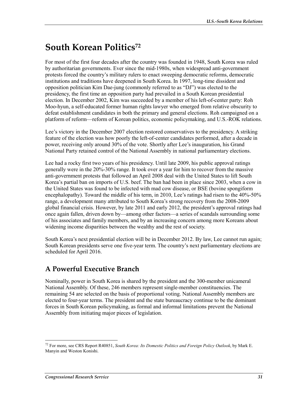# **South Korean Politics72**

For most of the first four decades after the country was founded in 1948, South Korea was ruled by authoritarian governments. Ever since the mid-1980s, when widespread anti-government protests forced the country's military rulers to enact sweeping democratic reforms, democratic institutions and traditions have deepened in South Korea. In 1997, long-time dissident and opposition politician Kim Dae-jung (commonly referred to as "DJ") was elected to the presidency, the first time an opposition party had prevailed in a South Korean presidential election. In December 2002, Kim was succeeded by a member of his left-of-center party: Roh Moo-hyun, a self-educated former human rights lawyer who emerged from relative obscurity to defeat establishment candidates in both the primary and general elections. Roh campaigned on a platform of reform—reform of Korean politics, economic policymaking, and U.S.-ROK relations.

Lee's victory in the December 2007 election restored conservatives to the presidency. A striking feature of the election was how poorly the left-of-center candidates performed, after a decade in power, receiving only around 30% of the vote. Shortly after Lee's inauguration, his Grand National Party retained control of the National Assembly in national parliamentary elections.

Lee had a rocky first two years of his presidency. Until late 2009, his public approval ratings generally were in the 20%-30% range. It took over a year for him to recover from the massive anti-government protests that followed an April 2008 deal with the United States to lift South Korea's partial ban on imports of U.S. beef. The ban had been in place since 2003, when a cow in the United States was found to be infected with mad cow disease, or BSE (bovine spongiform encephalopathy). Toward the middle of his term, in 2010, Lee's ratings had risen to the 40%-50% range, a development many attributed to South Korea's strong recovery from the 2008-2009 global financial crisis. However, by late 2011 and early 2012, the president's approval ratings had once again fallen, driven down by—among other factors—a series of scandals surrounding some of his associates and family members, and by an increasing concern among more Koreans about widening income disparities between the wealthy and the rest of society.

South Korea's next presidential election will be in December 2012. By law, Lee cannot run again; South Korean presidents serve one five-year term. The country's next parliamentary elections are scheduled for April 2016.

## **A Powerful Executive Branch**

Nominally, power in South Korea is shared by the president and the 300-member unicameral National Assembly. Of these, 246 members represent single-member constituencies. The remaining 54 are selected on the basis of proportional voting. National Assembly members are elected to four-year terms. The president and the state bureaucracy continue to be the dominant forces in South Korean policymaking, as formal and informal limitations prevent the National Assembly from initiating major pieces of legislation.

<sup>1</sup> 72 For more, see CRS Report R40851, *South Korea: Its Domestic Politics and Foreign Policy Outlook*, by Mark E. Manyin and Weston Konishi.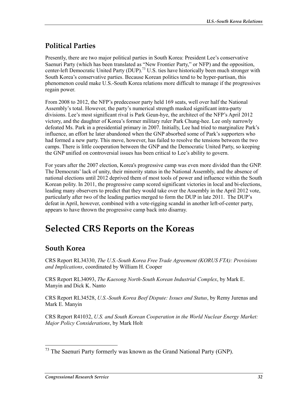## **Political Parties**

Presently, there are two major political parties in South Korea: President Lee's conservative Saenuri Party (which has been translated as "New Frontier Party," or NFP) and the opposition, center-left Democratic United Party (DUP).<sup>73</sup> U.S. ties have historically been much stronger with South Korea's conservative parties. Because Korean politics tend to be hyper-partisan, this phenomenon could make U.S.-South Korea relations more difficult to manage if the progressives regain power.

From 2008 to 2012, the NFP's predecessor party held 169 seats, well over half the National Assembly's total. However, the party's numerical strength masked significant intra-party divisions. Lee's most significant rival is Park Geun-hye, the architect of the NFP's April 2012 victory, and the daughter of Korea's former military ruler Park Chung-hee. Lee only narrowly defeated Ms. Park in a presidential primary in 2007. Initially, Lee had tried to marginalize Park's influence, an effort he later abandoned when the GNP absorbed some of Park's supporters who had formed a new party. This move, however, has failed to resolve the tensions between the two camps. There is little cooperation between the GNP and the Democratic United Party, so keeping the GNP unified on controversial issues has been critical to Lee's ability to govern.

For years after the 2007 election, Korea's progressive camp was even more divided than the GNP. The Democrats' lack of unity, their minority status in the National Assembly, and the absence of national elections until 2012 deprived them of most tools of power and influence within the South Korean polity. In 2011, the progressive camp scored significant victories in local and bi-elections, leading many observers to predict that they would take over the Assembly in the April 2012 vote, particularly after two of the leading parties merged to form the DUP in late 2011. The DUP's defeat in April, however, combined with a vote-rigging scandal in another left-of-center party, appears to have thrown the progressive camp back into disarray.

# **Selected CRS Reports on the Koreas**

## **South Korea**

CRS Report RL34330, *The U.S.-South Korea Free Trade Agreement (KORUS FTA): Provisions and Implications*, coordinated by William H. Cooper

CRS Report RL34093, *The Kaesong North-South Korean Industrial Complex*, by Mark E. Manyin and Dick K. Nanto

CRS Report RL34528, *U.S.-South Korea Beef Dispute: Issues and Status*, by Remy Jurenas and Mark E. Manyin

CRS Report R41032, *U.S. and South Korean Cooperation in the World Nuclear Energy Market: Major Policy Considerations*, by Mark Holt

<sup>1</sup>  $73$  The Saenuri Party formerly was known as the Grand National Party (GNP).